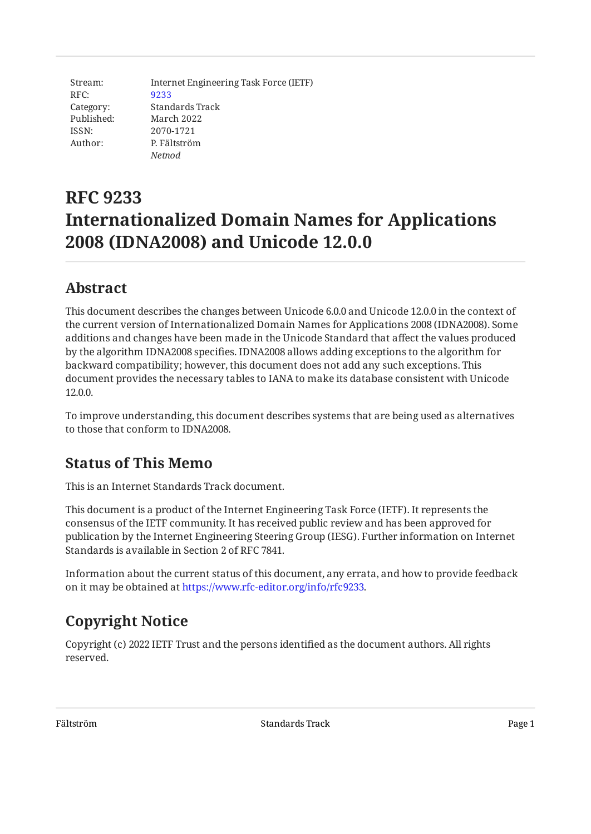Stream: RFC: Category: Published: ISSN: Author: Internet Engineering Task Force (IETF) [9233](https://www.rfc-editor.org/rfc/rfc9233) Standards Track March 2022 2070-1721 P. Fältström *Netnod*

# **RFC 9233 Internationalized Domain Names for Applications 2008 (IDNA2008) and Unicode 12.0.0**

## <span id="page-0-0"></span>**[Abstract](#page-0-0)**

This document describes the changes between Unicode 6.0.0 and Unicode 12.0.0 in the context of the current version of Internationalized Domain Names for Applications 2008 (IDNA2008). Some additions and changes have been made in the Unicode Standard that affect the values produced by the algorithm IDNA2008 specifies. IDNA2008 allows adding exceptions to the algorithm for backward compatibility; however, this document does not add any such exceptions. This document provides the necessary tables to IANA to make its database consistent with Unicode 12.0.0.

To improve understanding, this document describes systems that are being used as alternatives to those that conform to IDNA2008.

## <span id="page-0-1"></span>**[Status of This Memo](#page-0-1)**

This is an Internet Standards Track document.

This document is a product of the Internet Engineering Task Force (IETF). It represents the consensus of the IETF community. It has received public review and has been approved for publication by the Internet Engineering Steering Group (IESG). Further information on Internet Standards is available in Section 2 of RFC 7841.

Information about the current status of this document, any errata, and how to provide feedback on it may be obtained at [https://www.rfc-editor.org/info/rfc9233.](https://www.rfc-editor.org/info/rfc9233)

# <span id="page-0-2"></span>**[Copyright Notice](#page-0-2)**

Copyright (c) 2022 IETF Trust and the persons identified as the document authors. All rights reserved.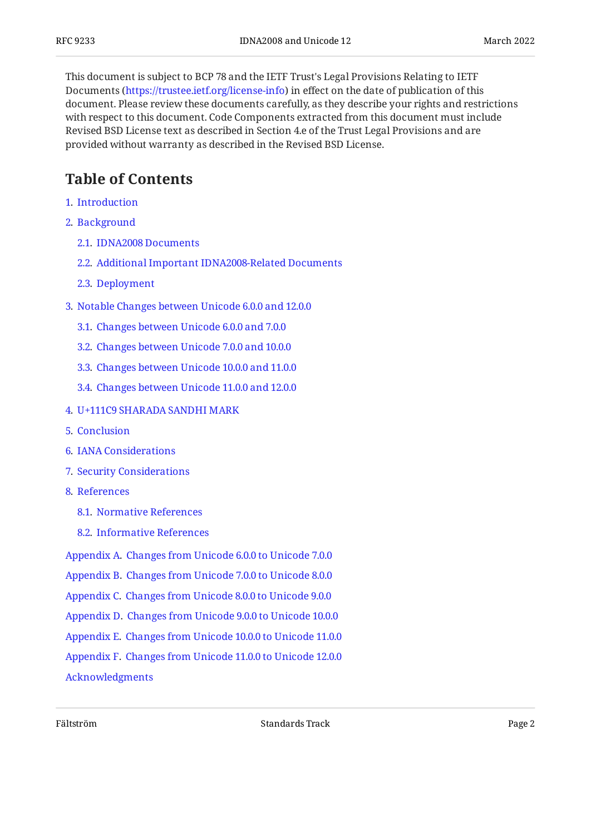This document is subject to BCP 78 and the IETF Trust's Legal Provisions Relating to IETF Documents (<https://trustee.ietf.org/license-info>) in effect on the date of publication of this document. Please review these documents carefully, as they describe your rights and restrictions with respect to this document. Code Components extracted from this document must include Revised BSD License text as described in Section 4.e of the Trust Legal Provisions and are provided without warranty as described in the Revised BSD License.

## <span id="page-1-0"></span>**[Table of Contents](#page-1-0)**

- [1](#page-2-0). [Introduction](#page-2-0)
- [2](#page-3-0). [Background](#page-3-0)
	- [2.1.](#page-3-1) [IDNA2008 Documents](#page-3-1)
	- [2.2.](#page-4-0) [Additional Important IDNA2008-Related Documents](#page-4-0)
	- [2.3.](#page-4-1) [Deployment](#page-4-1)
- [3](#page-5-0). [Notable Changes between Unicode 6.0.0 and 12.0.0](#page-5-0)
	- [3.1.](#page-6-0) [Changes between Unicode 6.0.0 and 7.0.0](#page-6-0)
	- [3.2.](#page-6-1) [Changes between Unicode 7.0.0 and 10.0.0](#page-6-1)
	- [3.3.](#page-7-0) [Changes between Unicode 10.0.0 and 11.0.0](#page-7-0)
	- [3.4.](#page-8-0) [Changes between Unicode 11.0.0 and 12.0.0](#page-8-0)
- [4](#page-8-1). [U+111C9 SHARADA SANDHI MARK](#page-8-1)
- [5](#page-8-2). [Conclusion](#page-8-2)
- [6](#page-9-0). [IANA Considerations](#page-9-0)
- [7](#page-9-1). [Security Considerations](#page-9-1)
- [8](#page-9-2). [References](#page-9-2)
	- [8.1.](#page-9-3) [Normative References](#page-9-3)
	- [8.2.](#page-10-0) [Informative References](#page-10-0)
- [Appendix A.](#page-11-0) [Changes from Unicode 6.0.0 to Unicode 7.0.0](#page-11-0)
- [Appendix B.](#page-16-0) [Changes from Unicode 7.0.0 to Unicode 8.0.0](#page-16-0)
- [Appendix C.](#page-18-0) [Changes from Unicode 8.0.0 to Unicode 9.0.0](#page-18-0)
- [Appendix D.](#page-20-0) [Changes from Unicode 9.0.0 to Unicode 10.0.0](#page-20-0)
- [Appendix E.](#page-21-0) [Changes from Unicode 10.0.0 to Unicode 11.0.0](#page-21-0)
- [Appendix F.](#page-23-0) [Changes from Unicode 11.0.0 to Unicode 12.0.0](#page-23-0)

[Acknowledgments](#page-25-0)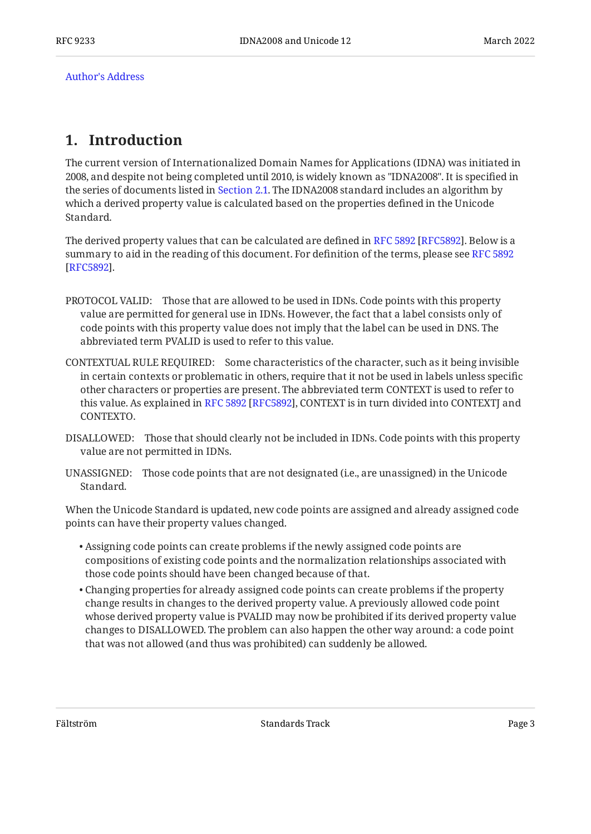[Author's Address](#page-25-1)

### <span id="page-2-0"></span>**[1. Introduction](#page-2-0)**

The current version of Internationalized Domain Names for Applications (IDNA) was initiated in 2008, and despite not being completed until 2010, is widely known as "IDNA2008". It is specified in the series of documents listed in [Section 2.1.](#page-3-1) The IDNA2008 standard includes an algorithm by which a derived property value is calculated based on the properties defined in the Unicode Standard.

Thederived property values that can be calculated are defined in RFC 5892 [RFC5892]. Below is a summary to aid in the reading of this document. For definition of the terms, please see [RFC 5892](#page-9-4) . [[RFC5892\]](#page-9-4)

- PROTOCOL VALID: Those that are allowed to be used in IDNs. Code points with this property value are permitted for general use in IDNs. However, the fact that a label consists only of code points with this property value does not imply that the label can be used in DNS. The abbreviated term PVALID is used to refer to this value.
- CONTEXTUAL RULE REQUIRED: Some characteristics of the character, such as it being invisible in certain contexts or problematic in others, require that it not be used in labels unless specific other characters or properties are present. The abbreviated term CONTEXT is used to refer to thisvalue. As explained in RFC 5892 [RFC5892], CONTEXT is in turn divided into CONTEXTJ and CONTEXTO.
- DISALLOWED: Those that should clearly not be included in IDNs. Code points with this property value are not permitted in IDNs.
- UNASSIGNED: Those code points that are not designated (i.e., are unassigned) in the Unicode Standard.

When the Unicode Standard is updated, new code points are assigned and already assigned code points can have their property values changed.

- Assigning code points can create problems if the newly assigned code points are compositions of existing code points and the normalization relationships associated with those code points should have been changed because of that.
- Changing properties for already assigned code points can create problems if the property change results in changes to the derived property value. A previously allowed code point whose derived property value is PVALID may now be prohibited if its derived property value changes to DISALLOWED. The problem can also happen the other way around: a code point that was not allowed (and thus was prohibited) can suddenly be allowed.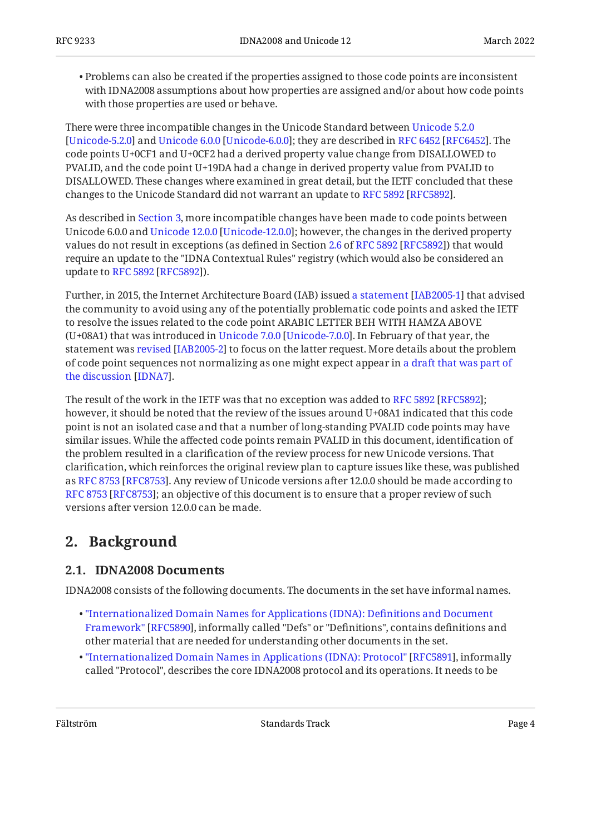$\bullet$  Problems can also be created if the properties assigned to those code points are inconsistent with IDNA2008 assumptions about how properties are assigned and/or about how code points with those properties are used or behave.

There were three incompatible changes in the Unicode Standard between [Unicode 5.2.0](#page-11-1) [Unicode-5.2.0]and Unicode 6.0.0 [Unicode-6.0.0]; they are described in RFC 6452 [RFC6452]. The code points U+0CF1 and U+0CF2 had a derived property value change from DISALLOWED to PVALID, and the code point U+19DA had a change in derived property value from PVALID to DISALLOWED. These changes where examined in great detail, but the IETF concluded that these changesto the Unicode Standard did not warrant an update to RFC 5892 [RFC5892].

As described in [Section 3](#page-5-0), more incompatible changes have been made to code points between Unicode6.0.0 and Unicode 12.0.0 [Unicode-12.0.0]; however, the changes in the derived property values do not result in exceptions (as defined in Section [2.6](https://www.rfc-editor.org/rfc/rfc5892#section-2.6)of RFC 5892 [RFC5892]) that would require an update to the "IDNA Contextual Rules" registry (which would also be considered an updateto RFC 5892 [RFC5892]).

Further,in 2015, the Internet Architecture Board (IAB) issued a statement [IAB2005-1] that advised the community to avoid using any of the potentially problematic code points and asked the IETF to resolve the issues related to the code point ARABIC LETTER BEH WITH HAMZA ABOVE (U+08A1)that was introduced in Unicode 7.0.0 [Unicode-7.0.0]. In February of that year, the statementwas revised [IAB2005-2] to focus on the latter request. More details about the problem of code point sequences not normalizing as one might expect appear in [a draft that was part of](#page-10-4) . [the discussion](#page-10-4) [[IDNA7\]](#page-10-4)

Theresult of the work in the IETF was that no exception was added to RFC 5892 [RFC5892]; however, it should be noted that the review of the issues around U+08A1 indicated that this code point is not an isolated case and that a number of long-standing PVALID code points may have similar issues. While the affected code points remain PVALID in this document, identification of the problem resulted in a clarification of the review process for new Unicode versions. That clarification, which reinforces the original review plan to capture issues like these, was published asRFC 8753 [RFC8753]. Any review of Unicode versions after 12.0.0 should be made according to [RFC 8753](#page-10-5) [[RFC8753\]](#page-10-5); an objective of this document is to ensure that a proper review of such versions after version 12.0.0 can be made.

## <span id="page-3-1"></span><span id="page-3-0"></span>**[2. Background](#page-3-0)**

#### **[2.1. IDNA2008 Documents](#page-3-1)**

IDNA2008 consists of the following documents. The documents in the set have informal names.

- [Framework"](#page-9-5) [[RFC5890\]](#page-9-5), informally called "Defs" or "Definitions", contains definitions and other material that are needed for understanding other documents in the set. • ["Internationalized Domain Names for Applications \(IDNA\): De](#page-9-5)finitions and Document
- $\bullet$  ["Internationalized Domain Names in Applications \(IDNA\): Protocol"](#page-9-6) [[RFC5891\]](#page-9-6), informally called "Protocol", describes the core IDNA2008 protocol and its operations. It needs to be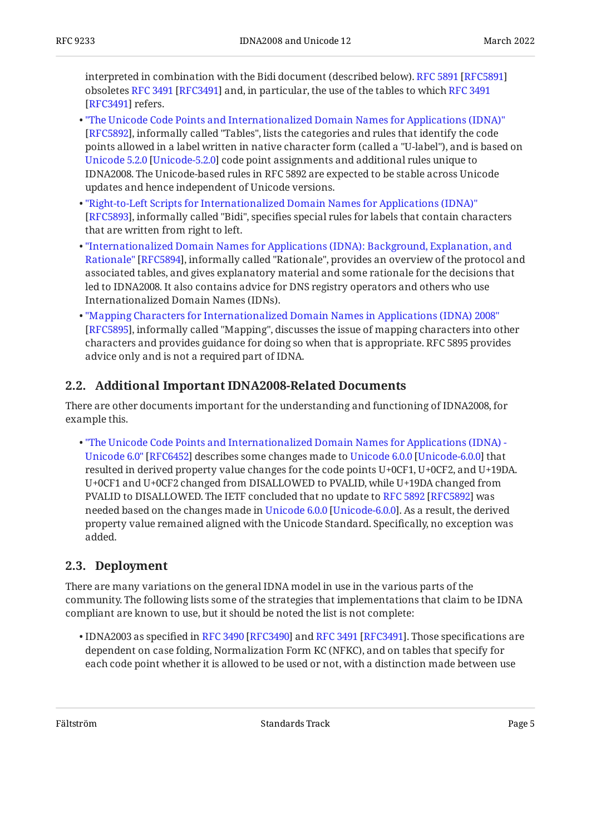interpreted in combination with the Bidi document (described below). [RFC 5891](#page-9-6) [[RFC5891\]](#page-9-6) obsoletes[RFC 3491](#page-9-7) [RFC3491] and, in particular, the use of the tables to which RFC 3491 [[RFC3491\]](#page-9-7) refers.

- [[RFC5892\]](#page-9-4), informally called "Tables", lists the categories and rules that identify the code points allowed in a label written in native character form (called a "U-label"), and is based on [Unicode 5.2.0](#page-11-1) [\[Unicode-5.2.0](#page-11-1)] code point assignments and additional rules unique to IDNA2008. The Unicode-based rules in RFC 5892 are expected to be stable across Unicode updates and hence independent of Unicode versions. • ["The Unicode Code Points and Internationalized Domain Names for Applications \(IDNA\)"](#page-9-4)
- [[RFC5893\]](#page-9-8), informally called "Bidi", specifies special rules for labels that contain characters that are written from right to left. • ["Right-to-Left Scripts for Internationalized Domain Names for Applications \(IDNA\)"](#page-9-8)
- [Rationale"](#page-10-6) [\[RFC5894\]](#page-10-6), informally called "Rationale", provides an overview of the protocol and associated tables, and gives explanatory material and some rationale for the decisions that led to IDNA2008. It also contains advice for DNS registry operators and others who use Internationalized Domain Names (IDNs). • ["Internationalized Domain Names for Applications \(IDNA\): Background, Explanation, and](#page-10-6)
- [[RFC5895\]](#page-10-7), informally called "Mapping", discusses the issue of mapping characters into other characters and provides guidance for doing so when that is appropriate. RFC 5895 provides advice only and is not a required part of IDNA. • ["Mapping Characters for Internationalized Domain Names in Applications \(IDNA\) 2008"](#page-10-7)

#### <span id="page-4-0"></span>**[2.2. Additional Important IDNA2008-Related Documents](#page-4-0)**

There are other documents important for the understanding and functioning of IDNA2008, for example this.

Unicode6.0" [\[RFC6452](#page-10-1)] describes some changes made to Unicode 6.0.0 [Unicode-6.0.0] that resulted in derived property value changes for the code points U+0CF1, U+0CF2, and U+19DA. U+0CF1 and U+0CF2 changed from DISALLOWED to PVALID, while U+19DA changed from PVALIDto DISALLOWED. The IETF concluded that no update to RFC 5892 [RFC5892] was neededbased on the changes made in Unicode 6.0.0 [Unicode-6.0.0]. As a result, the derived property value remained aligned with the Unicode Standard. Specifically, no exception was added. • ["The Unicode Code Points and Internationalized Domain Names for Applications \(IDNA\) -](#page-10-1)

#### <span id="page-4-1"></span>**[2.3. Deployment](#page-4-1)**

There are many variations on the general IDNA model in use in the various parts of the community. The following lists some of the strategies that implementations that claim to be IDNA compliant are known to use, but it should be noted the list is not complete:

 $\bullet$ IDNA2003 as specified in RFC 3490 [RFC3490] and RFC 3491 [RFC3491]. Those specifications are dependent on case folding, Normalization Form KC (NFKC), and on tables that specify for each code point whether it is allowed to be used or not, with a distinction made between use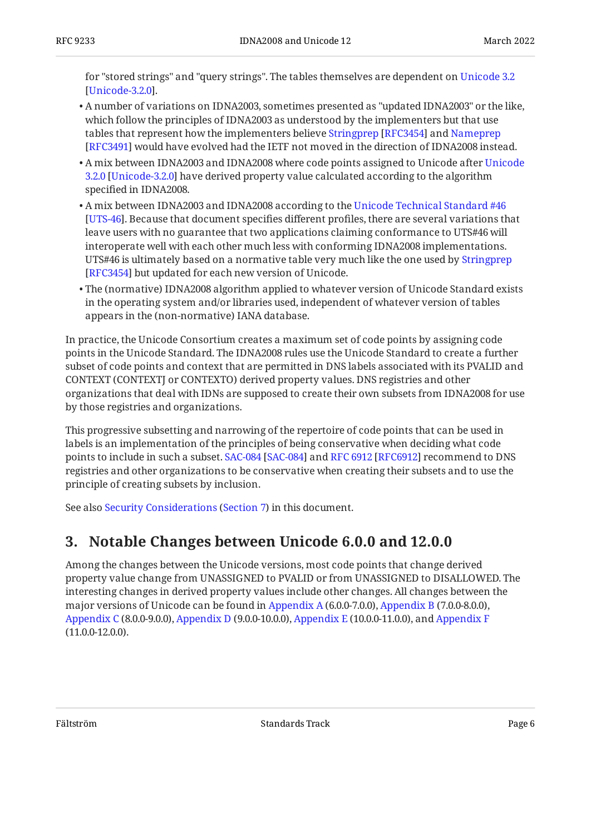for "stored strings" and "query strings". The tables themselves are dependent on [Unicode 3.2](#page-11-5) . [[Unicode-3.2.0\]](#page-11-5)

- $\bullet$  A number of variations on IDNA2003, sometimes presented as "updated IDNA2003" or the like, which follow the principles of IDNA2003 as understood by the implementers but that use tablesthat represent how the implementers believe Stringprep [RFC3454] and [Nameprep](#page-9-7) [[RFC3491\]](#page-9-7) would have evolved had the IETF not moved in the direction of IDNA2008 instead.
- $\bullet$  A mix between IDNA2003 and IDNA2008 where code points assigned to [Unicode](#page-11-5) after Unicode [3.2.0](#page-11-5) [\[Unicode-3.2.0](#page-11-5)] have derived property value calculated according to the algorithm specified in IDNA2008.
- $\bullet$  A mix between IDNA2003 and IDNA2008 according to the [Unicode Technical Standard #46](#page-11-6) [[UTS-46\]](#page-11-6). Because that document specifies different profiles, there are several variations that leave users with no guarantee that two applications claiming conformance to UTS#46 will interoperate well with each other much less with conforming IDNA2008 implementations. UTS#46 is ultimately based on a normative table very much like the one used by [Stringprep](#page-10-9) [[RFC3454\]](#page-10-9) but updated for each new version of Unicode.
- The (normative) IDNA2008 algorithm applied to whatever version of Unicode Standard exists in the operating system and/or libraries used, independent of whatever version of tables appears in the (non-normative) IANA database.

In practice, the Unicode Consortium creates a maximum set of code points by assigning code points in the Unicode Standard. The IDNA2008 rules use the Unicode Standard to create a further subset of code points and context that are permitted in DNS labels associated with its PVALID and CONTEXT (CONTEXTJ or CONTEXTO) derived property values. DNS registries and other organizations that deal with IDNs are supposed to create their own subsets from IDNA2008 for use by those registries and organizations.

This progressive subsetting and narrowing of the repertoire of code points that can be used in labels is an implementation of the principles of being conservative when deciding what code pointsto include in such a subset. SAC-084 [SAC-084] and RFC 6912 [RFC6912] recommend to DNS registries and other organizations to be conservative when creating their subsets and to use the principle of creating subsets by inclusion.

<span id="page-5-0"></span>Seealso Security Considerations (Section 7) in this document.

## **[3. Notable Changes between Unicode 6.0.0 and 12.0.0](#page-5-0)**

Among the changes between the Unicode versions, most code points that change derived property value change from UNASSIGNED to PVALID or from UNASSIGNED to DISALLOWED. The interesting changes in derived property values include other changes. All changes between the major versions of Unicode can be found in [Appendix A](#page-11-0) (6.0.0-7.0.0), [Appendix B](#page-16-0) (7.0.0-8.0.0), [Appendix C](#page-18-0) (8.0.0-9.0.0), [Appendix D](#page-20-0) (9.0.0-10.0.0), [Appendix E](#page-21-0) (10.0.0-11.0.0), and [Appendix F](#page-23-0) (11.0.0-12.0.0).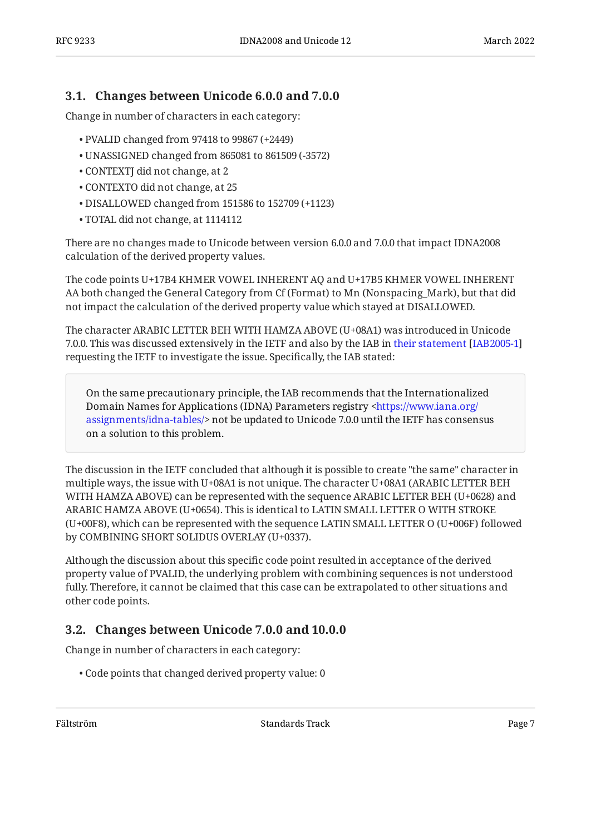### <span id="page-6-0"></span>**[3.1. Changes between Unicode 6.0.0 and 7.0.0](#page-6-0)**

Change in number of characters in each category:

- PVALID changed from 97418 to 99867 (+2449) •
- UNASSIGNED changed from 865081 to 861509 (-3572) •
- CONTEXTJ did not change, at 2 •
- CONTEXTO did not change, at 25 •
- DISALLOWED changed from 151586 to 152709 (+1123) •
- TOTAL did not change, at 1114112 •

There are no changes made to Unicode between version 6.0.0 and 7.0.0 that impact IDNA2008 calculation of the derived property values.

The code points U+17B4 KHMER VOWEL INHERENT AQ and U+17B5 KHMER VOWEL INHERENT AA both changed the General Category from Cf (Format) to Mn (Nonspacing\_Mark), but that did not impact the calculation of the derived property value which stayed at DISALLOWED.

The character ARABIC LETTER BEH WITH HAMZA ABOVE (U+08A1) was introduced in Unicode 7.0.0. This was discussed extensively in the IETF and also by the IAB in [their statement \[IAB2005-1](#page-10-2)] requesting the IETF to investigate the issue. Specifically, the IAB stated:

On the same precautionary principle, the IAB recommends that the Internationalized Domain Names for Applications (IDNA) Parameters registry [<https://www.iana.org/](https://www.iana.org/assignments/idna-tables/) [assignments/idna-tables/>](https://www.iana.org/assignments/idna-tables/) not be updated to Unicode 7.0.0 until the IETF has consensus on a solution to this problem.

The discussion in the IETF concluded that although it is possible to create "the same" character in multiple ways, the issue with U+08A1 is not unique. The character U+08A1 (ARABIC LETTER BEH WITH HAMZA ABOVE) can be represented with the sequence ARABIC LETTER BEH (U+0628) and ARABIC HAMZA ABOVE (U+0654). This is identical to LATIN SMALL LETTER O WITH STROKE (U+00F8), which can be represented with the sequence LATIN SMALL LETTER O (U+006F) followed by COMBINING SHORT SOLIDUS OVERLAY (U+0337).

Although the discussion about this specific code point resulted in acceptance of the derived property value of PVALID, the underlying problem with combining sequences is not understood fully. Therefore, it cannot be claimed that this case can be extrapolated to other situations and other code points.

### <span id="page-6-1"></span>**[3.2. Changes between Unicode 7.0.0 and 10.0.0](#page-6-1)**

Change in number of characters in each category:

Code points that changed derived property value: 0 •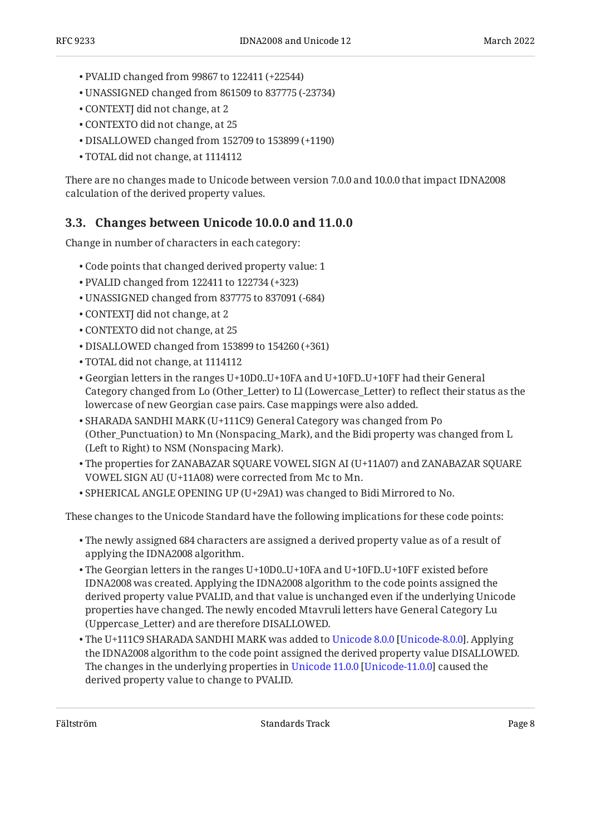- PVALID changed from 99867 to 122411 (+22544) •
- UNASSIGNED changed from 861509 to 837775 (-23734) •
- CONTEXTJ did not change, at 2 •
- CONTEXTO did not change, at 25 •
- DISALLOWED changed from 152709 to 153899 (+1190) •
- TOTAL did not change, at 1114112 •

There are no changes made to Unicode between version 7.0.0 and 10.0.0 that impact IDNA2008 calculation of the derived property values.

### <span id="page-7-0"></span>**[3.3. Changes between Unicode 10.0.0 and 11.0.0](#page-7-0)**

Change in number of characters in each category:

- Code points that changed derived property value: 1 •
- PVALID changed from 122411 to 122734 (+323) •
- UNASSIGNED changed from 837775 to 837091 (-684) •
- CONTEXTJ did not change, at 2 •
- CONTEXTO did not change, at 25 •
- DISALLOWED changed from 153899 to 154260 (+361) •
- TOTAL did not change, at 1114112 •
- Georgian letters in the ranges U+10D0..U+10FA and U+10FD..U+10FF had their General Category changed from Lo (Other\_Letter) to Ll (Lowercase\_Letter) to reflect their status as the lowercase of new Georgian case pairs. Case mappings were also added.
- SHARADA SANDHI MARK (U+111C9) General Category was changed from Po (Other\_Punctuation) to Mn (Nonspacing\_Mark), and the Bidi property was changed from L (Left to Right) to NSM (Nonspacing Mark).
- The properties for ZANABAZAR SQUARE VOWEL SIGN AI (U+11A07) and ZANABAZAR SQUARE VOWEL SIGN AU (U+11A08) were corrected from Mc to Mn.
- $\bullet$  SPHERICAL ANGLE OPENING UP (U+29A1) was changed to Bidi Mirrored to No.

These changes to the Unicode Standard have the following implications for these code points:

- $\bullet$  The newly assigned 684 characters are assigned a derived property value as of a result of applying the IDNA2008 algorithm.
- The Georgian letters in the ranges U+10D0..U+10FA and U+10FD..U+10FF existed before IDNA2008 was created. Applying the IDNA2008 algorithm to the code points assigned the derived property value PVALID, and that value is unchanged even if the underlying Unicode properties have changed. The newly encoded Mtavruli letters have General Category Lu (Uppercase\_Letter) and are therefore DISALLOWED.
- The U+111C9 SHARADA SANDHI MARK was added to [Unicode 8.0.0](#page-11-8) [\[Unicode-8.0.0](#page-11-8)]. Applying the IDNA2008 algorithm to the code point assigned the derived property value DISALLOWED. Thechanges in the underlying properties in Unicode 11.0.0 [Unicode-11.0.0] caused the derived property value to change to PVALID.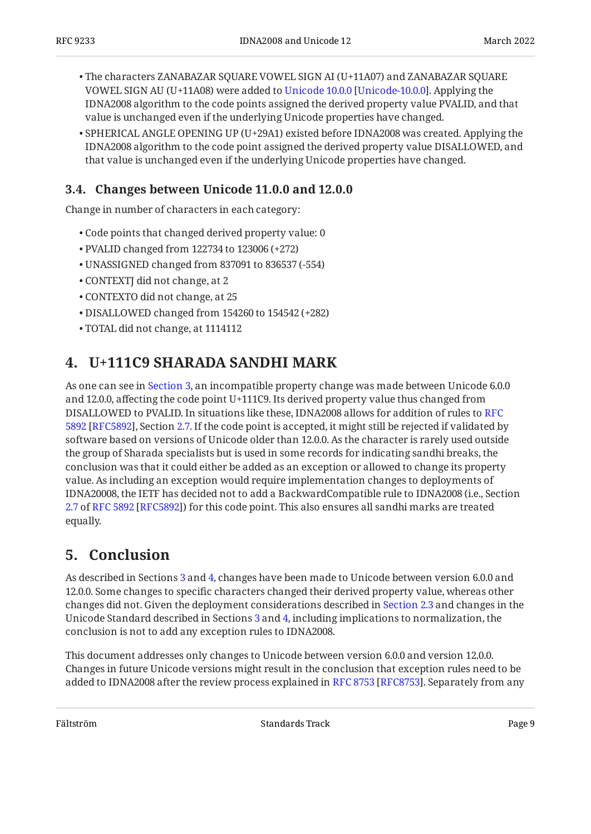- The characters ZANABAZAR SQUARE VOWEL SIGN AI (U+11A07) and ZANABAZAR SQUARE VOWELSIGN AU (U+11A08) were added to Unicode 10.0.0 [Unicode-10.0.0]. Applying the IDNA2008 algorithm to the code points assigned the derived property value PVALID, and that value is unchanged even if the underlying Unicode properties have changed.
- $\bullet$  SPHERICAL ANGLE OPENING UP (U+29A1) existed before IDNA2008 was created. Applying the IDNA2008 algorithm to the code point assigned the derived property value DISALLOWED, and that value is unchanged even if the underlying Unicode properties have changed.

### <span id="page-8-0"></span>**[3.4. Changes between Unicode 11.0.0 and 12.0.0](#page-8-0)**

Change in number of characters in each category:

- Code points that changed derived property value: 0 •
- PVALID changed from 122734 to 123006 (+272) •
- UNASSIGNED changed from 837091 to 836537 (-554) •
- CONTEXTJ did not change, at 2 •
- CONTEXTO did not change, at 25 •
- DISALLOWED changed from 154260 to 154542 (+282) •
- <span id="page-8-1"></span>TOTAL did not change, at 1114112 •

# **[4. U+111C9 SHARADA SANDHI MARK](#page-8-1)**

As one can see in [Section 3,](#page-5-0) an incompatible property change was made between Unicode 6.0.0 and 12.0.0, affecting the code point U+111C9. Its derived property value thus changed from DISALLOWED to PVALID. In situations like these, IDNA2008 allows for addition of rules to [RFC](#page-9-4) 5892 [RFC5892], Section [2.7](https://www.rfc-editor.org/rfc/rfc5892#section-2.7). If the code point is accepted, it might still be rejected if validated by software based on versions of Unicode older than 12.0.0. As the character is rarely used outside the group of Sharada specialists but is used in some records for indicating sandhi breaks, the conclusion was that it could either be added as an exception or allowed to change its property value. As including an exception would require implementation changes to deployments of IDNA20008, the IETF has decided not to add a BackwardCompatible rule to IDNA2008 (i.e., Section [2.7](https://www.rfc-editor.org/rfc/rfc5892#section-2.7) ofRFC 5892 [RFC5892]) for this code point. This also ensures all sandhi marks are treated equally.

# <span id="page-8-2"></span>**[5. Conclusion](#page-8-2)**

As described in Sections [3](#page-5-0) and [4](#page-8-1), changes have been made to Unicode between version 6.0.0 and 12.0.0. Some changes to specific characters changed their derived property value, whereas other changes did not. Given the deployment considerations described in [Section 2.3](#page-4-1) and changes in the Unicode Standard described in Sections [3](#page-5-0) and [4](#page-8-1), including implications to normalization, the conclusion is not to add any exception rules to IDNA2008.

This document addresses only changes to Unicode between version 6.0.0 and version 12.0.0. Changes in future Unicode versions might result in the conclusion that exception rules need to be addedto IDNA2008 after the review process explained in RFC 8753 [RFC8753]. Separately from any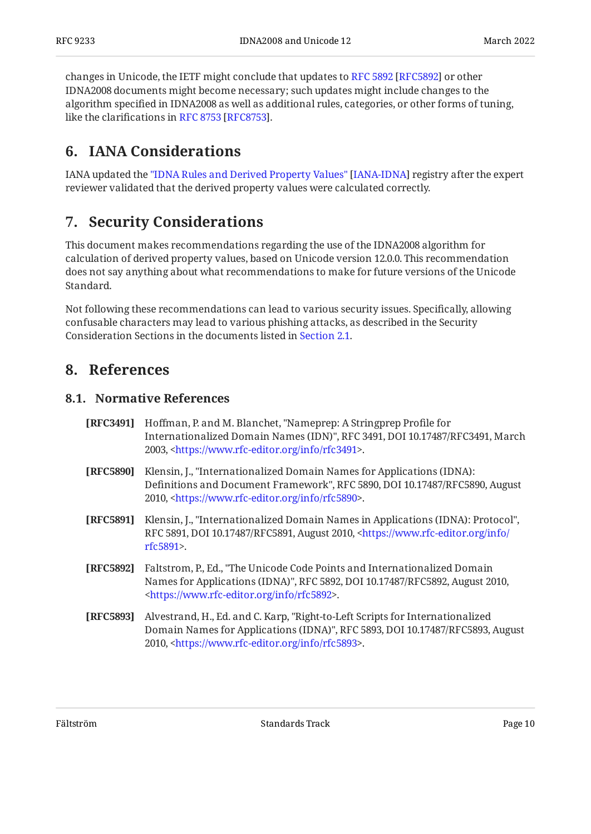changesin Unicode, the IETF might conclude that updates to RFC 5892 [RFC5892] or other IDNA2008 documents might become necessary; such updates might include changes to the algorithm specified in IDNA2008 as well as additional rules, categories, or other forms of tuning, likethe clarifications in RFC 8753 [RFC8753].

## <span id="page-9-0"></span>**[6. IANA Considerations](#page-9-0)**

IANAupdated the "IDNA Rules and Derived Property Values" [IANA-IDNA] registry after the expert reviewer validated that the derived property values were calculated correctly.

### <span id="page-9-1"></span>**[7. Security Considerations](#page-9-1)**

This document makes recommendations regarding the use of the IDNA2008 algorithm for calculation of derived property values, based on Unicode version 12.0.0. This recommendation does not say anything about what recommendations to make for future versions of the Unicode Standard.

Not following these recommendations can lead to various security issues. Specifically, allowing confusable characters may lead to various phishing attacks, as described in the Security Consideration Sections in the documents listed in [Section 2.1](#page-3-1).

### <span id="page-9-3"></span><span id="page-9-2"></span>**[8. References](#page-9-2)**

#### **[8.1. Normative References](#page-9-3)**

- <span id="page-9-7"></span>**[RFC3491]** Hoffman, P. and M. Blanchet, "Nameprep: A Stringprep Profile for Internationalized Domain Names (IDN)", RFC 3491, DOI 10.17487/RFC3491, March 2003, <[https://www.rfc-editor.org/info/rfc3491>](https://www.rfc-editor.org/info/rfc3491).
- <span id="page-9-5"></span>**[RFC5890]** , Klensin, J. "Internationalized Domain Names for Applications (IDNA): Definitions and Document Framework", RFC 5890, DOI 10.17487/RFC5890, August 2010, <https://www.rfc-editor.org/info/rfc5890>.
- <span id="page-9-6"></span>**[RFC5891]** Klensin, J., "Internationalized Domain Names in Applications (IDNA): Protocol", RFC 5891, DOI 10.17487/RFC5891, August 2010, [<https://www.rfc-editor.org/info/](https://www.rfc-editor.org/info/rfc5891) . [rfc5891](https://www.rfc-editor.org/info/rfc5891)>
- <span id="page-9-4"></span>**[RFC5892]** , Faltstrom, P., Ed. "The Unicode Code Points and Internationalized Domain Names for Applications (IDNA)", RFC 5892, DOI 10.17487/RFC5892, August 2010, . [<https://www.rfc-editor.org/info/rfc5892](https://www.rfc-editor.org/info/rfc5892)>
- <span id="page-9-8"></span>**[RFC5893]** Alvestrand, H., Ed. and C. Karp, "Right-to-Left Scripts for Internationalized Domain Names for Applications (IDNA)", RFC 5893, DOI 10.17487/RFC5893, August 2010, <https://www.rfc-editor.org/info/rfc5893>.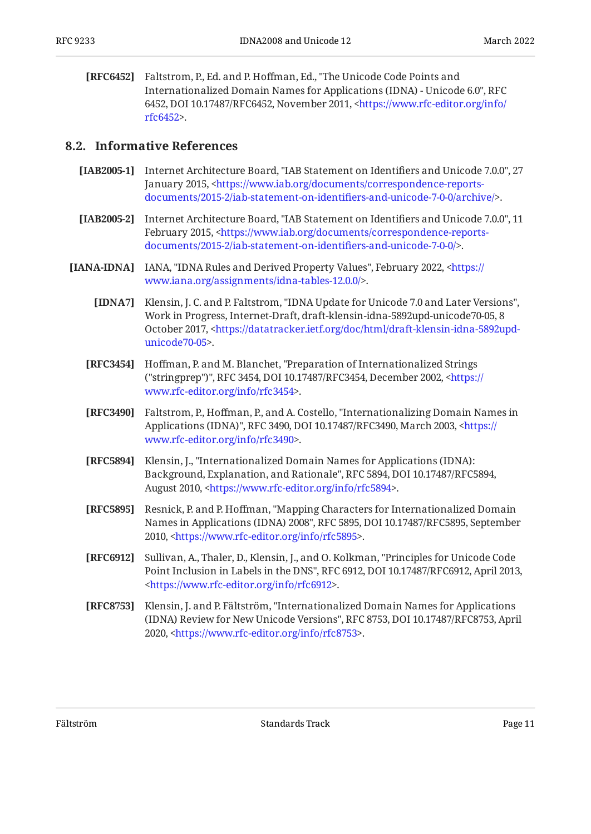<span id="page-10-1"></span>**[RFC6452]** Faltstrom, P., Ed. and P. Hoffman, Ed., "The Unicode Code Points and , Internationalized Domain Names for Applications (IDNA) - Unicode 6.0" RFC 6452, DOI 10.17487/RFC6452, November 2011, [<https://www.rfc-editor.org/info/](https://www.rfc-editor.org/info/rfc6452) . [rfc6452](https://www.rfc-editor.org/info/rfc6452)>

#### <span id="page-10-0"></span>**[8.2. Informative References](#page-10-0)**

- <span id="page-10-2"></span>**[IAB2005-1]** Internet Architecture Board, "IAB Statement on Identifiers and Unicode 7.0.0", 27 January 2015, [<https://www.iab.org/documents/correspondence-reports-](https://www.iab.org/documents/correspondence-reports-documents/2015-2/iab-statement-on-identifiers-and-unicode-7-0-0/archive/). [documents/2015-2/iab-statement-on-identi](https://www.iab.org/documents/correspondence-reports-documents/2015-2/iab-statement-on-identifiers-and-unicode-7-0-0/archive/)fiers-and-unicode-7-0-0/archive/>
- <span id="page-10-3"></span>**[IAB2005-2]** Internet Architecture Board, "IAB Statement on Identifiers and Unicode 7.0.0", 11 February 2015, [<https://www.iab.org/documents/correspondence-reports-](https://www.iab.org/documents/correspondence-reports-documents/2015-2/iab-statement-on-identifiers-and-unicode-7-0-0/). [documents/2015-2/iab-statement-on-identi](https://www.iab.org/documents/correspondence-reports-documents/2015-2/iab-statement-on-identifiers-and-unicode-7-0-0/)fiers-and-unicode-7-0-0/>
- <span id="page-10-11"></span><span id="page-10-9"></span><span id="page-10-8"></span><span id="page-10-6"></span><span id="page-10-4"></span>**[IANA-IDNA]** IANA, "IDNA Rules and Derived Property Values", February 2022, [<https://](https://www.iana.org/assignments/idna-tables-12.0.0/) . [www.iana.org/assignments/idna-tables-12.0.0/>](https://www.iana.org/assignments/idna-tables-12.0.0/)
	- **[IDNA7]** Klensin, J. C. and P. Faltstrom, "IDNA Update for Unicode 7.0 and Later Versions", Work in Progress, Internet-Draft, draft-klensin-idna-5892upd-unicode70-05, 8 October 2017, [<https://datatracker.ietf.org/doc/html/draft-klensin-idna-5892upd-](https://datatracker.ietf.org/doc/html/draft-klensin-idna-5892upd-unicode70-05). [unicode70-05](https://datatracker.ietf.org/doc/html/draft-klensin-idna-5892upd-unicode70-05)>
	- **[RFC3454]** Hoffman, P. and M. Blanchet, "Preparation of Internationalized Strings ("stringprep")", RFC 3454, DOI 10.17487/RFC3454, December 2002, [<https://](https://www.rfc-editor.org/info/rfc3454) . [www.rfc-editor.org/info/rfc3454>](https://www.rfc-editor.org/info/rfc3454)
	- **[RFC3490]** Faltstrom, P., Hoffman, P., and A. Costello, "Internationalizing Domain Names in Applications (IDNA)", RFC 3490, DOI 10.17487/RFC3490, March 2003, <[https://](https://www.rfc-editor.org/info/rfc3490) . [www.rfc-editor.org/info/rfc3490>](https://www.rfc-editor.org/info/rfc3490)
	- **[RFC5894]** , Klensin, J. "Internationalized Domain Names for Applications (IDNA): Background, Explanation, and Rationale", RFC 5894, DOI 10.17487/RFC5894, August 2010, <https://www.rfc-editor.org/info/rfc5894>.
	- **[RFC5895]** Resnick, P. and P. Hoffman, "Mapping Characters for Internationalized Domain Names in Applications (IDNA) 2008", RFC 5895, DOI 10.17487/RFC5895, September 2010, <https://www.rfc-editor.org/info/rfc5895>.
	- **[RFC6912]** Sullivan, A., Thaler, D., Klensin, J., and O. Kolkman, "Principles for Unicode Code Point Inclusion in Labels in the DNS", RFC 6912, DOI 10.17487/RFC6912, April 2013, . [<https://www.rfc-editor.org/info/rfc6912](https://www.rfc-editor.org/info/rfc6912)>
	- **[RFC8753]** Klensin, J. and P. Fältström, "Internationalized Domain Names for Applications (IDNA) Review for New Unicode Versions", RFC 8753, DOI 10.17487/RFC8753, April 2020, <[https://www.rfc-editor.org/info/rfc8753>](https://www.rfc-editor.org/info/rfc8753).

<span id="page-10-10"></span><span id="page-10-7"></span><span id="page-10-5"></span>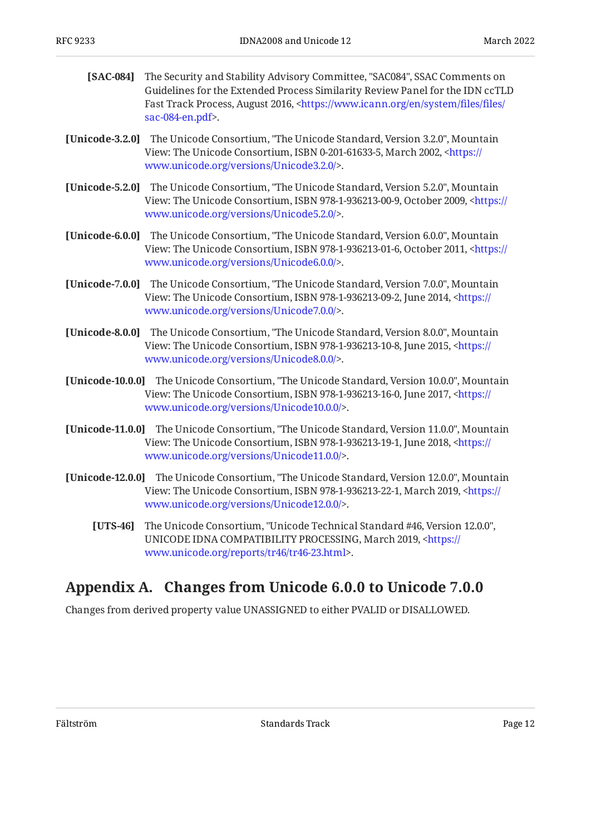- <span id="page-11-7"></span>**[SAC-084]** The Security and Stability Advisory Committee, "SAC084", SSAC Comments on Fast Track Process, August 2016, [<https://www.icann.org/en/system/](https://www.icann.org/en/system/files/files/sac-084-en.pdf)files/files/ . [sac-084-en.pdf](https://www.icann.org/en/system/files/files/sac-084-en.pdf)> Guidelines for the Extended Process Similarity Review Panel for the IDN ccTLD
- <span id="page-11-5"></span>**[Unicode-3.2.0]** The Unicode Consortium, "The Unicode Standard, Version 3.2.0", Mountain View: The Unicode Consortium, ISBN 0-201-61633-5, March 2002, <[https://](https://www.unicode.org/versions/Unicode3.2.0/) . [www.unicode.org/versions/Unicode3.2.0/>](https://www.unicode.org/versions/Unicode3.2.0/)
- <span id="page-11-1"></span>**[Unicode-5.2.0]** The Unicode Consortium, "The Unicode Standard, Version 5.2.0", Mountain View: The Unicode Consortium, ISBN 978-1-936213-00-9, October 2009, [<https://](https://www.unicode.org/versions/Unicode5.2.0/) . [www.unicode.org/versions/Unicode5.2.0/>](https://www.unicode.org/versions/Unicode5.2.0/)
- <span id="page-11-2"></span>**[Unicode-6.0.0]** The Unicode Consortium, "The Unicode Standard, Version 6.0.0", Mountain View: The Unicode Consortium, ISBN 978-1-936213-01-6, October 2011, [<https://](https://www.unicode.org/versions/Unicode6.0.0/) . [www.unicode.org/versions/Unicode6.0.0/>](https://www.unicode.org/versions/Unicode6.0.0/)
- <span id="page-11-4"></span>**[Unicode-7.0.0]** The Unicode Consortium, "The Unicode Standard, Version 7.0.0", Mountain View: The Unicode Consortium, ISBN 978-1-936213-09-2, June 2014, <[https://](https://www.unicode.org/versions/Unicode7.0.0/) . [www.unicode.org/versions/Unicode7.0.0/>](https://www.unicode.org/versions/Unicode7.0.0/)
- <span id="page-11-8"></span>**[Unicode-8.0.0]** The Unicode Consortium, "The Unicode Standard, Version 8.0.0", Mountain View: The Unicode Consortium, ISBN 978-1-936213-10-8, June 2015, <[https://](https://www.unicode.org/versions/Unicode8.0.0/) . [www.unicode.org/versions/Unicode8.0.0/>](https://www.unicode.org/versions/Unicode8.0.0/)
- <span id="page-11-10"></span>**[Unicode-10.0.0]** The Unicode Consortium, "The Unicode Standard, Version 10.0.0", Mountain View: The Unicode Consortium, ISBN 978-1-936213-16-0, June 2017, <[https://](https://www.unicode.org/versions/Unicode10.0.0/) . [www.unicode.org/versions/Unicode10.0.0/>](https://www.unicode.org/versions/Unicode10.0.0/)
- <span id="page-11-9"></span>**[Unicode-11.0.0]** The Unicode Consortium, "The Unicode Standard, Version 11.0.0", Mountain View: The Unicode Consortium, ISBN 978-1-936213-19-1, June 2018, <[https://](https://www.unicode.org/versions/Unicode11.0.0/) . [www.unicode.org/versions/Unicode11.0.0/>](https://www.unicode.org/versions/Unicode11.0.0/)
- <span id="page-11-6"></span><span id="page-11-3"></span>**[Unicode-12.0.0]** The Unicode Consortium, "The Unicode Standard, Version 12.0.0", Mountain View: The Unicode Consortium, ISBN 978-1-936213-22-1, March 2019, [<https://](https://www.unicode.org/versions/Unicode12.0.0/) . [www.unicode.org/versions/Unicode12.0.0/>](https://www.unicode.org/versions/Unicode12.0.0/)
	- **[UTS-46]** The Unicode Consortium, "Unicode Technical Standard #46, Version 12.0.0", UNICODE IDNA COMPATIBILITY PROCESSING, March 2019, <<del>http</del>s:// . [www.unicode.org/reports/tr46/tr46-23.html](https://www.unicode.org/reports/tr46/tr46-23.html)>

## <span id="page-11-0"></span>**[Appendix A. Changes from Unicode 6.0.0 to Unicode 7.0.0](#page-11-0)**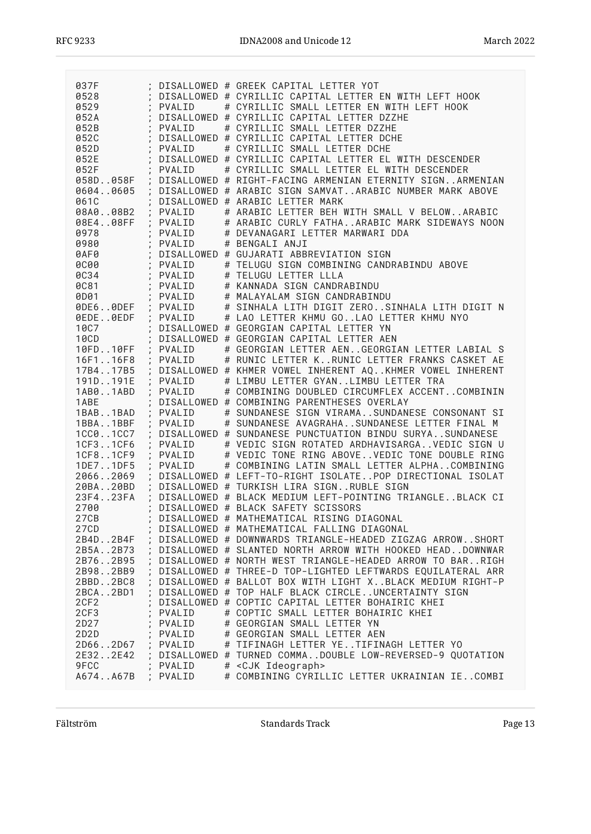| 037F                       |                      | DISALLOWED # GREEK CAPITAL LETTER YOT                        |
|----------------------------|----------------------|--------------------------------------------------------------|
| 0528                       |                      | DISALLOWED # CYRILLIC CAPITAL LETTER EN WITH LEFT HOOK       |
| 0529                       | PVALID               | # CYRILLIC SMALL LETTER EN WITH LEFT HOOK                    |
| 052A                       |                      | DISALLOWED # CYRILLIC CAPITAL LETTER DZZHE                   |
| 052B                       | PVALID               | # CYRILLIC SMALL LETTER DZZHE                                |
|                            |                      |                                                              |
| 052C                       |                      | DISALLOWED # CYRILLIC CAPITAL LETTER DCHE                    |
| 052D                       | PVALID               | # CYRILLIC SMALL LETTER DCHE                                 |
| 052E                       |                      | DISALLOWED # CYRILLIC CAPITAL LETTER EL WITH DESCENDER       |
| 052F                       | PVALID               | # CYRILLIC SMALL LETTER EL WITH DESCENDER                    |
| 058D058F                   |                      | DISALLOWED # RIGHT-FACING ARMENIAN ETERNITY SIGNARMENIAN     |
| 06040605                   |                      | DISALLOWED # ARABIC SIGN SAMVATARABIC NUMBER MARK ABOVE      |
|                            |                      |                                                              |
| 061C                       | $\lambda$            | DISALLOWED # ARABIC LETTER MARK                              |
| 08A008B2<br>$\mathbf{r}$   | PVALID               | # ARABIC LETTER BEH WITH SMALL V BELOWARABIC                 |
| 08E408FF<br>$\overline{ }$ | PVALID               | # ARABIC CURLY FATHAARABIC MARK SIDEWAYS NOON                |
| 0978<br>$\pmb{\cdot}$      | PVALID<br>$\bullet$  | # DEVANAGARI LETTER MARWARI DDA                              |
| 0980                       | PVALID               | # BENGALI ANJI                                               |
| 0AF0                       |                      | DISALLOWED # GUJARATI ABBREVIATION SIGN                      |
| <b>0C00</b>                | PVALID               | # TELUGU SIGN COMBINING CANDRABINDU ABOVE                    |
| <b>0C34</b>                | PVALID               |                                                              |
|                            |                      | # TELUGU LETTER LLLA                                         |
| <b>0C81</b>                | PVALID               | # KANNADA SIGN CANDRABINDU                                   |
| 0D01<br>$\mathbf{r}$       | PVALID               | # MALAYALAM SIGN CANDRABINDU                                 |
| 0DE60DEF ;                 | PVALID               | # SINHALA LITH DIGIT ZEROSINHALA LITH DIGIT N                |
| 0EDE0EDF                   | PVALID               | # LAO LETTER KHMU GOLAO LETTER KHMU NYO                      |
| 10C7                       |                      | DISALLOWED # GEORGIAN CAPITAL LETTER YN                      |
| $\mathbf{I}$<br>10CD       |                      | DISALLOWED # GEORGIAN CAPITAL LETTER AEN                     |
| 10FD10FF                   | PVALID               | # GEORGIAN LETTER AENGEORGIAN LETTER LABIAL S                |
|                            | $\ddot{\phantom{a}}$ |                                                              |
| 16F116F8<br>$\pmb{\cdot}$  | PVALID               | # RUNIC LETTER KRUNIC LETTER FRANKS CASKET AE                |
| 17B417B5                   |                      | DISALLOWED # KHMER VOWEL INHERENT AQ. . KHMER VOWEL INHERENT |
| 191D191E                   | PVALID               | # LIMBU LETTER GYANLIMBU LETTER TRA                          |
| 1AB01ABD                   | PVALID               | # COMBINING DOUBLED CIRCUMFLEX ACCENTCOMBININ                |
| 1ABE<br>$\overline{ }$     |                      | DISALLOWED # COMBINING PARENTHESES OVERLAY                   |
| 1BAB1BAD                   | PVALID               | # SUNDANESE SIGN VIRAMASUNDANESE CONSONANT SI                |
| 1BBA1BBF                   | <b>PVALID</b>        | # SUNDANESE AVAGRAHASUNDANESE LETTER FINAL M                 |
| 1CC01CC7                   |                      | DISALLOWED # SUNDANESE PUNCTUATION BINDU SURYASUNDANESE      |
| $\ddot{i}$                 |                      |                                                              |
| 1CF31CF6<br>$\cdot$        | PVALID               | # VEDIC SIGN ROTATED ARDHAVISARGAVEDIC SIGN U                |
| 1CF81CF9                   | PVALID               | # VEDIC TONE RING ABOVEVEDIC TONE DOUBLE RING                |
| 1DE71DF5                   | PVALID               | # COMBINING LATIN SMALL LETTER ALPHACOMBINING                |
| 20662069                   |                      | DISALLOWED # LEFT-TO-RIGHT ISOLATEPOP DIRECTIONAL ISOLAT     |
| 20BA20BD<br>$\cdot$        |                      | DISALLOWED # TURKISH LIRA SIGNRUBLE SIGN                     |
| 23F423FA                   |                      | DISALLOWED # BLACK MEDIUM LEFT-POINTING TRIANGLEBLACK CI     |
| 2700                       |                      | DISALLOWED # BLACK SAFETY SCISSORS                           |
| 27CB                       | $\pmb{\cdot}$        | ; DISALLOWED # MATHEMATICAL RISING DIAGONAL                  |
| 27CD                       |                      | DISALLOWED # MATHEMATICAL FALLING DIAGONAL                   |
|                            |                      |                                                              |
| 2B4D2B4F                   |                      | DISALLOWED # DOWNWARDS TRIANGLE-HEADED ZIGZAG ARROWSHORT     |
| 2B5A2B73                   |                      | DISALLOWED # SLANTED NORTH ARROW WITH HOOKED HEAD. . DOWNWAR |
| 2B762B95                   |                      | : DISALLOWED # NORTH WEST TRIANGLE-HEADED ARROW TO BARRIGH   |
| 2B982BB9                   |                      | ; DISALLOWED # THREE-D TOP-LIGHTED LEFTWARDS EQUILATERAL ARR |
| 2BBD2BC8                   |                      | DISALLOWED # BALLOT BOX WITH LIGHT XBLACK MEDIUM RIGHT-P     |
| 2BCA2BD1                   |                      | DISALLOWED # TOP HALF BLACK CIRCLEUNCERTAINTY SIGN           |
| 2CF <sub>2</sub>           |                      | DISALLOWED # COPTIC CAPITAL LETTER BOHAIRIC KHEI             |
| 2CF3                       | PVALID               | # COPTIC SMALL LETTER BOHAIRIC KHEI                          |
|                            |                      |                                                              |
| 2D27                       | PVALID               | # GEORGIAN SMALL LETTER YN                                   |
| 2D <sub>2</sub> D          | PVALID               | # GEORGIAN SMALL LETTER AEN                                  |
| 2D662D67                   | ; PVALID             | # TIFINAGH LETTER YETIFINAGH LETTER YO                       |
| 2E322E42                   |                      | ; DISALLOWED # TURNED COMMADOUBLE LOW-REVERSED-9 QUOTATION   |
| 9FCC                       | ; PVALID             | # <cjk ideograph=""></cjk>                                   |
| A674A67B                   | PVALID               | # COMBINING CYRILLIC LETTER UKRAINIAN IECOMBI                |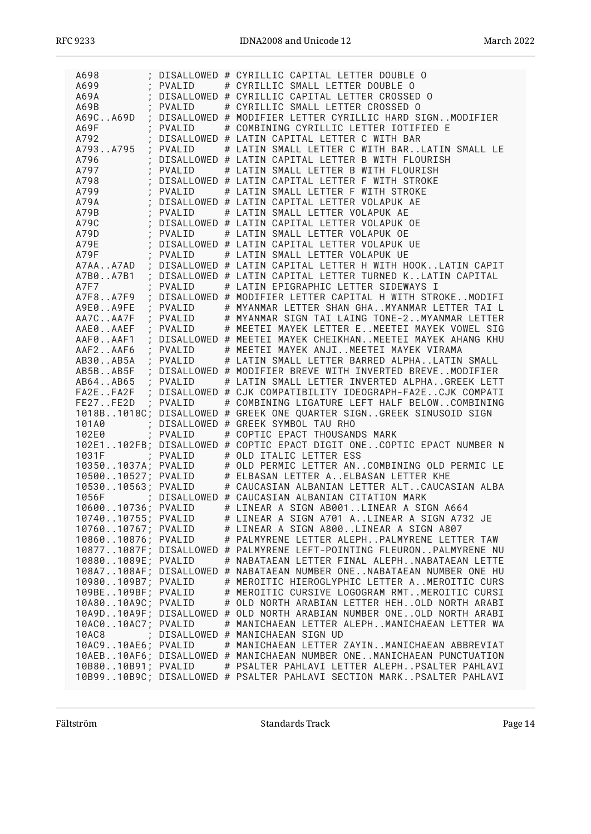| A698                                |          | DISALLOWED # CYRILLIC CAPITAL LETTER DOUBLE O                                                                                                                                                                                          |
|-------------------------------------|----------|----------------------------------------------------------------------------------------------------------------------------------------------------------------------------------------------------------------------------------------|
| A699                                | : PVALID | # CYRILLIC SMALL LETTER DOUBLE O                                                                                                                                                                                                       |
| A69A<br>A69B                        |          | ; DISALLOWED # CYRILLIC CAPITAL LETTER CROSSED O                                                                                                                                                                                       |
|                                     | : PVALID | # CYRILLIC SMALL LETTER CROSSED 0                                                                                                                                                                                                      |
|                                     |          | A69CA69D ; DISALLOWED # MODIFIER LETTER CYRILLIC HARD SIGNMODIFIER                                                                                                                                                                     |
| $\sim$ $\sim$ $\sim$ $\sim$<br>A69F |          | PVALID # COMBINING CYRILLIC LETTER IOTIFIED E                                                                                                                                                                                          |
| A792                                |          | DISALLOWED # LATIN CAPITAL LETTER C WITH BAR                                                                                                                                                                                           |
|                                     |          | A793A795 ; PVALID # LATIN SMALL LETTER C WITH BARLATIN SMALL LE                                                                                                                                                                        |
| A796                                |          | DISALLOWED # LATIN CAPITAL LETTER B WITH FLOURISH                                                                                                                                                                                      |
| A797                                | PVALID   | # LATIN SMALL LETTER B WITH FLOURISH                                                                                                                                                                                                   |
| $\sim 10^{-10}$ GeV                 |          |                                                                                                                                                                                                                                        |
|                                     |          | DISALLOWED # LATIN CAPITAL LETTER F WITH STROKE                                                                                                                                                                                        |
|                                     |          | A798 ; DISALLOWED # LATIN CAPITAL LETTER F WITH STROKE<br>A799 ; PVALID # LATIN SMALL LETTER F WITH STROKE<br>A798 ; DISALLOWED # LATIN CAPITAL LETTER VOLAPUK AE<br>A79B ; PVALID # LATIN SMALL LETTER VOLAPUK AE<br>A79C ; DISALLOWE |
|                                     |          |                                                                                                                                                                                                                                        |
|                                     |          |                                                                                                                                                                                                                                        |
|                                     |          |                                                                                                                                                                                                                                        |
|                                     |          |                                                                                                                                                                                                                                        |
|                                     |          |                                                                                                                                                                                                                                        |
| A79F ; PVALID                       |          | # LATIN SMALL LETTER VOLAPUK UE                                                                                                                                                                                                        |
|                                     |          |                                                                                                                                                                                                                                        |
|                                     |          | A7AAA7AD ; DISALLOWED # LATIN CAPITAL LETTER H WITH HOOKLATIN CAPIT                                                                                                                                                                    |
|                                     |          | A7B0A7B1 ; DISALLOWED # LATIN CAPITAL LETTER TURNED KLATIN CAPITAL                                                                                                                                                                     |
| A7F7                                |          | ; PVALID # LATIN EPIGRAPHIC LETTER SIDEWAYS I                                                                                                                                                                                          |
|                                     |          | A7F8A7F9 ; DISALLOWED # MODIFIER LETTER CAPITAL H WITH STROKEMODIFI                                                                                                                                                                    |
| A9E0A9FE                            |          | ; PVALID # MYANMAR LETTER SHAN GHAMYANMAR LETTER TAI L                                                                                                                                                                                 |
| AA7CAA7F<br>$\overline{1}$          |          | PVALID # MYANMAR SIGN TAI LAING TONE-2MYANMAR LETTER                                                                                                                                                                                   |
| AAE0AAEF                            |          | ; PVALID # MEETEI MAYEK LETTER EMEETEI MAYEK VOWEL SIG                                                                                                                                                                                 |
|                                     |          | AAF0AAF1 : DISALLOWED # MEETEI MAYEK CHEIKHANMEETEI MAYEK AHANG KHU                                                                                                                                                                    |
|                                     |          | AAF2AAF6 ; PVALID # MEETEI MAYEK ANJIMEETEI MAYEK VIRAMA                                                                                                                                                                               |
|                                     |          | AB30AB5A ; PVALID # LATIN SMALL LETTER BARRED ALPHALATIN SMALL                                                                                                                                                                         |
|                                     |          |                                                                                                                                                                                                                                        |
|                                     |          | AB5BAB5F ; DISALLOWED # MODIFIER BREVE WITH INVERTED BREVEMODIFIER<br>AB64AB65 ; PVALID # LATIN SMALL LETTER INVERTED ALPHAGREEK LETT                                                                                                  |
|                                     |          |                                                                                                                                                                                                                                        |
|                                     |          | FA2EFA2F ; DISALLOWED # CJK COMPATIBILITY IDEOGRAPH-FA2ECJK COMPATI                                                                                                                                                                    |
| FE27FE2D ; PVALID                   |          | # COMBINING LIGATURE LEFT HALF BELOWCOMBINING                                                                                                                                                                                          |
|                                     |          | 1018B1018C; DISALLOWED # GREEK ONE QUARTER SIGNGREEK SINUSOID SIGN                                                                                                                                                                     |
|                                     |          | 101A0 ; DISALLOWED # GREEK SYMBOL TAU RHO                                                                                                                                                                                              |
| 102E0                               |          | ; PVALID # COPTIC EPACT THOUSANDS MARK                                                                                                                                                                                                 |
|                                     |          | 102E1102FB; DISALLOWED # COPTIC EPACT DIGIT ONECOPTIC EPACT NUMBER N                                                                                                                                                                   |
|                                     |          |                                                                                                                                                                                                                                        |
|                                     |          |                                                                                                                                                                                                                                        |
|                                     |          |                                                                                                                                                                                                                                        |
|                                     |          |                                                                                                                                                                                                                                        |
|                                     |          | 1053010563; PVALID # CAUCASIAN ALBANIAN LETTER ALTCAUCASIAN ALBA                                                                                                                                                                       |
|                                     |          | 1056F ; DISALLOWED # CAUCASIAN ALBANIAN CITATION MARK                                                                                                                                                                                  |
| 1060010736; PVALID                  |          | # LINEAR A SIGN AB001LINEAR A SIGN A664                                                                                                                                                                                                |
| 1074010755; PVALID                  |          | # LINEAR A SIGN A701 ALINEAR A SIGN A732 JE                                                                                                                                                                                            |
| 1076010767; PVALID                  |          | # LINEAR A SIGN A800LINEAR A SIGN A807                                                                                                                                                                                                 |
| 1086010876; PVALID                  |          | # PALMYRENE LETTER ALEPHPALMYRENE LETTER TAW                                                                                                                                                                                           |
|                                     |          | 108771087F; DISALLOWED # PALMYRENE LEFT-POINTING FLEURONPALMYRENE NU                                                                                                                                                                   |
| 108801089E; PVALID                  |          | # NABATAEAN LETTER FINAL ALEPHNABATAEAN LETTE                                                                                                                                                                                          |
|                                     |          | 108A7108AF; DISALLOWED # NABATAEAN NUMBER ONENABATAEAN NUMBER ONE HU                                                                                                                                                                   |
|                                     |          |                                                                                                                                                                                                                                        |
| 10980109B7; PVALID                  |          | # MEROITIC HIEROGLYPHIC LETTER AMEROITIC CURS                                                                                                                                                                                          |
| 109BE109BF; PVALID                  |          | # MEROITIC CURSIVE LOGOGRAM RMTMEROITIC CURSI                                                                                                                                                                                          |
| 10A8010A9C; PVALID                  |          | # OLD NORTH ARABIAN LETTER HEHOLD NORTH ARABI                                                                                                                                                                                          |
|                                     |          | 10A9D10A9F; DISALLOWED # OLD NORTH ARABIAN NUMBER ONEOLD NORTH ARABI                                                                                                                                                                   |
| 10AC010AC7; PVALID                  |          | # MANICHAEAN LETTER ALEPHMANICHAEAN LETTER WA                                                                                                                                                                                          |
| 10AC8                               |          | ; DISALLOWED # MANICHAEAN SIGN UD                                                                                                                                                                                                      |
| 10AC910AE6; PVALID                  |          | # MANICHAEAN LETTER ZAYINMANICHAEAN ABBREVIAT                                                                                                                                                                                          |
|                                     |          | 10AEB10AF6; DISALLOWED # MANICHAEAN NUMBER ONEMANICHAEAN PUNCTUATION                                                                                                                                                                   |
| 10B8010B91; PVALID                  |          | # PSALTER PAHLAVI LETTER ALEPHPSALTER PAHLAVI                                                                                                                                                                                          |
|                                     |          | 10B9910B9C; DISALLOWED # PSALTER PAHLAVI SECTION MARKPSALTER PAHLAVI                                                                                                                                                                   |
|                                     |          |                                                                                                                                                                                                                                        |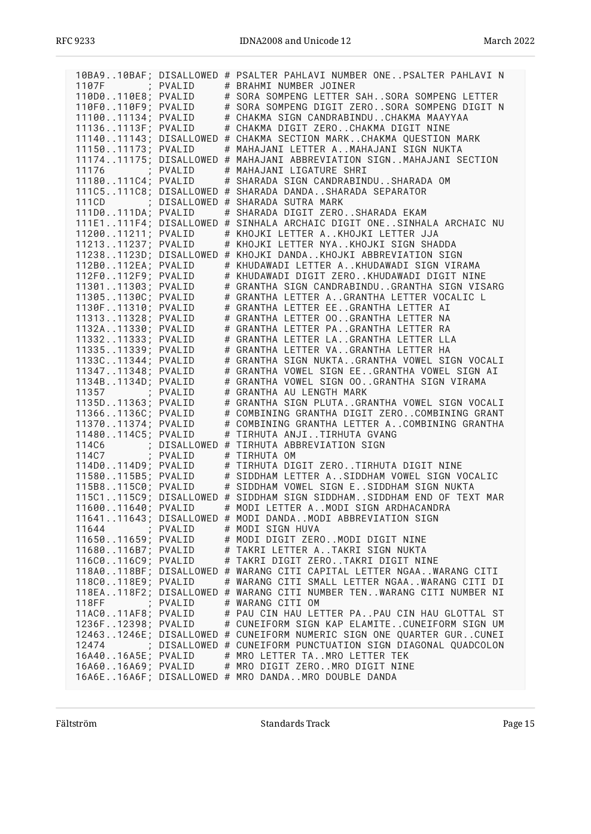|                                                                |          | 10BA910BAF; DISALLOWED # PSALTER PAHLAVI NUMBER ONEPSALTER PAHLAVI N          |
|----------------------------------------------------------------|----------|-------------------------------------------------------------------------------|
| 1107F ; PVALID                                                 |          | # BRAHMI NUMBER JOINER                                                        |
| 110D0110E8; PVALID                                             |          | # SORA SOMPENG LETTER SAHSORA SOMPENG LETTER                                  |
|                                                                |          | # SORA SOMPENG DIGIT ZEROSORA SOMPENG DIGIT N                                 |
|                                                                |          | # CHAKMA SIGN CANDRABINDUCHAKMA MAAYYAA                                       |
| 110F0110F9; PVALID<br>1110011134; PVALID<br>111361113F; PVALID |          | # CHAKMA DIGIT ZEROCHAKMA DIGIT NINE                                          |
|                                                                |          | 1114011143; DISALLOWED # CHAKMA SECTION MARKCHAKMA QUESTION MARK              |
| 1115011173; PVALID                                             |          | # MAHAJANI LETTER AMAHAJANI SIGN NUKTA                                        |
|                                                                |          | 1117411175; DISALLOWED # MAHAJANI ABBREVIATION SIGNMAHAJANI SECTION           |
|                                                                |          | 11176 ; PVALID # MAHAJANI LIGATURE SHRI                                       |
|                                                                |          | 11180111C4; PVALID # SHARADA SIGN CANDRABINDUSHARADA OM                       |
|                                                                |          | 111C5111C8; DISALLOWED # SHARADA DANDASHARADA SEPARATOR                       |
|                                                                |          |                                                                               |
|                                                                |          | # SHARADA DIGIT ZEROSHARADA EKAM                                              |
|                                                                |          | 111E1111F4; DISALLOWED # SINHALA ARCHAIC DIGIT ONESINHALA ARCHAIC NU          |
| 1120011211; PVALID                                             |          | # KHOJKI LETTER AKHOJKI LETTER JJA                                            |
| 1121311237; PVALID                                             |          | # KHOJKI LETTER NYAKHOJKI SIGN SHADDA                                         |
|                                                                |          | 112381123D; DISALLOWED # KHOJKI DANDAKHOJKI ABBREVIATION SIGN                 |
| 112B0112EA; PVALID                                             |          | # KHUDAWADI LETTER AKHUDAWADI SIGN VIRAMA                                     |
| 112F0112F9; PVALID                                             |          | # KHUDAWADI DIGIT ZEROKHUDAWADI DIGIT NINE                                    |
| 1130111303; PVALID                                             |          | # GRANTHA SIGN CANDRABINDUGRANTHA SIGN VISARG                                 |
| 113051130C; PVALID                                             |          | # GRANTHA LETTER AGRANTHA LETTER VOCALIC L                                    |
| 1130F11310; PVALID                                             |          | # GRANTHA LETTER EEGRANTHA LETTER AI                                          |
| 1131311328; PVALID                                             |          | # GRANTHA LETTER 00GRANTHA LETTER NA                                          |
| 1132A11330; PVALID                                             |          | # GRANTHA LETTER PAGRANTHA LETTER RA                                          |
| 1133211333; PVALID                                             |          | # GRANTHA LETTER LAGRANTHA LETTER LLA                                         |
| 1133511339; PVALID                                             |          | # GRANTHA LETTER VAGRANTHA LETTER HA                                          |
| 1133C11344; PVALID                                             |          | # GRANTHA SIGN NUKTAGRANTHA VOWEL SIGN VOCALI                                 |
| 1134711348; PVALID                                             |          | # GRANTHA VOWEL SIGN EEGRANTHA VOWEL SIGN AI                                  |
| 1134B1134D; PVALID                                             |          | # GRANTHA VOWEL SIGN 00GRANTHA SIGN VIRAMA                                    |
| 11357 ; PVALID                                                 |          | # GRANTHA AU LENGTH MARK                                                      |
| 1135D11363; PVALID                                             |          | # GRANTHA SIGN PLUTAGRANTHA VOWEL SIGN VOCALI                                 |
| 113661136C; PVALID                                             |          | # COMBINING GRANTHA DIGIT ZEROCOMBINING GRANT                                 |
| 1137011374; PVALID                                             |          | # COMBINING GRANTHA LETTER ACOMBINING GRANTHA                                 |
| 11480114C5; PVALID                                             |          | # TIRHUTA ANJITIRHUTA GVANG                                                   |
|                                                                |          | 114C6 : DISALLOWED # TIRHUTA ABBREVIATION SIGN<br>114C7 : PVALID # TIRHUTA OM |
|                                                                |          |                                                                               |
| 114D0114D9; PVALID                                             |          | # TIRHUTA DIGIT ZEROTIRHUTA DIGIT NINE                                        |
| 11580115B5; PVALID                                             |          | # SIDDHAM LETTER ASIDDHAM VOWEL SIGN VOCALIC                                  |
|                                                                |          | 115B8115C0; PVALID # SIDDHAM VOWEL SIGN ESIDDHAM SIGN NUKTA                   |
|                                                                |          | 115C1115C9; DISALLOWED # SIDDHAM SIGN SIDDHAMSIDDHAM END OF TEXT MAR          |
| 1160011640; PVALID                                             |          | # MODI LETTER AMODI SIGN ARDHACANDRA                                          |
|                                                                |          | 1164111643; DISALLOWED # MODI DANDAMODI ABBREVIATION SIGN                     |
| 11644                                                          | ; PVALID | # MODI SIGN HUVA                                                              |
| 1165011659; PVALID                                             |          | # MODI DIGIT ZEROMODI DIGIT NINE                                              |
| 11680116B7; PVALID                                             |          | # TAKRI LETTER ATAKRI SIGN NUKTA                                              |
| 116C0116C9; PVALID                                             |          | # TAKRI DIGIT ZEROTAKRI DIGIT NINE                                            |
|                                                                |          | 118A0118BF; DISALLOWED # WARANG CITI CAPITAL LETTER NGAAWARANG CITI           |
| 118C0118E9; PVALID                                             |          | # WARANG CITI SMALL LETTER NGAAWARANG CITI DI                                 |
|                                                                |          | 118EA118F2; DISALLOWED # WARANG CITI NUMBER TENWARANG CITI NUMBER NI          |
| 118FF ; PVALID                                                 |          | # WARANG CITI OM                                                              |
| 11AC011AF8; PVALID                                             |          | # PAU CIN HAU LETTER PAPAU CIN HAU GLOTTAL ST                                 |
| 1236F12398; PVALID                                             |          | # CUNEIFORM SIGN KAP ELAMITECUNEIFORM SIGN UM                                 |
|                                                                |          | 124631246E; DISALLOWED # CUNEIFORM NUMERIC SIGN ONE QUARTER GURCUNEI          |
|                                                                |          | 12474 ; DISALLOWED # CUNEIFORM PUNCTUATION SIGN DIAGONAL QUADCOLON            |
| 16A4016A5E; PVALID                                             |          | # MRO LETTER TAMRO LETTER TEK                                                 |
| 16A6016A69; PVALID                                             |          | # MRO DIGIT ZEROMRO DIGIT NINE                                                |
|                                                                |          | 16A6E16A6F; DISALLOWED # MRO DANDAMRO DOUBLE DANDA                            |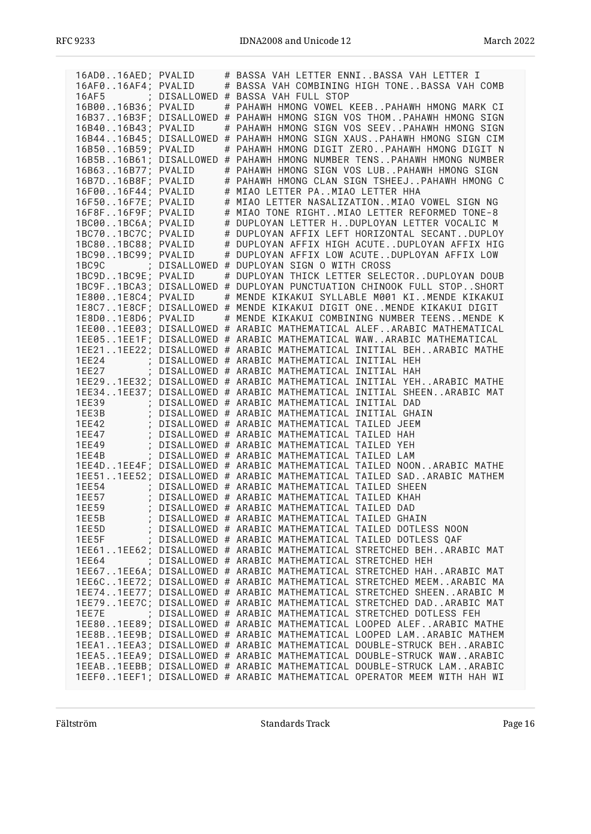| 16AD016AED; PVALID |  | # BASSA VAH LETTER ENNIBASSA VAH LETTER I                                                                                                                                                                                              |
|--------------------|--|----------------------------------------------------------------------------------------------------------------------------------------------------------------------------------------------------------------------------------------|
|                    |  |                                                                                                                                                                                                                                        |
|                    |  | 16AF016AF4; PVALID # BASSA VAH COMBINING HIGH TONEBASSA VAH COMB                                                                                                                                                                       |
|                    |  | 16AF5 ; DISALLOWED # BASSA VAH FULL STOP                                                                                                                                                                                               |
| 16B0016B36; PVALID |  | # PAHAWH HMONG VOWEL KEEBPAHAWH HMONG MARK CI                                                                                                                                                                                          |
|                    |  | 16B3716B3F; DISALLOWED # PAHAWH HMONG SIGN VOS THOMPAHAWH HMONG SIGN                                                                                                                                                                   |
|                    |  | 16B4016B43; PVALID # PAHAWH HMONG SIGN VOS SEEVPAHAWH HMONG SIGN                                                                                                                                                                       |
|                    |  |                                                                                                                                                                                                                                        |
|                    |  | 16B4416B45; DISALLOWED # PAHAWH HMONG SIGN XAUSPAHAWH HMONG SIGN CIM                                                                                                                                                                   |
| 16B5016B59; PVALID |  | # PAHAWH HMONG DIGIT ZEROPAHAWH HMONG DIGIT N                                                                                                                                                                                          |
|                    |  | 16B5B16B61; DISALLOWED # PAHAWH HMONG NUMBER TENSPAHAWH HMONG NUMBER                                                                                                                                                                   |
| 16B6316B77; PVALID |  | # PAHAWH HMONG SIGN VOS LUBPAHAWH HMONG SIGN                                                                                                                                                                                           |
| 16B7D16B8F; PVALID |  | # PAHAWH HMONG CLAN SIGN TSHEEJ PAHAWH HMONG C                                                                                                                                                                                         |
|                    |  |                                                                                                                                                                                                                                        |
| 16F0016F44; PVALID |  | # MIAO LETTER PAMIAO LETTER HHA                                                                                                                                                                                                        |
| 16F5016F7E; PVALID |  | # MIAO LETTER NASALIZATIONMIAO VOWEL SIGN NG                                                                                                                                                                                           |
| 16F8F16F9F; PVALID |  | # MIAO TONE RIGHTMIAO LETTER REFORMED TONE-8                                                                                                                                                                                           |
| 1BC001BC6A; PVALID |  | # DUPLOYAN LETTER HDUPLOYAN LETTER VOCALIC M                                                                                                                                                                                           |
| 1BC701BC7C; PVALID |  | # DUPLOYAN AFFIX LEFT HORIZONTAL SECANTDUPLOY                                                                                                                                                                                          |
|                    |  |                                                                                                                                                                                                                                        |
| 1BC801BC88; PVALID |  | # DUPLOYAN AFFIX HIGH ACUTEDUPLOYAN AFFIX HIG                                                                                                                                                                                          |
| 1BC901BC99; PVALID |  | # DUPLOYAN AFFIX LOW ACUTEDUPLOYAN AFFIX LOW                                                                                                                                                                                           |
|                    |  |                                                                                                                                                                                                                                        |
|                    |  | 1BC9C : DISALLOWED # DUPLOYAN SIGN O WITH CROSS<br>1BC9D1BC9E; PVALID # DUPLOYAN THICK LETTER SELE<br># DUPLOYAN THICK LETTER SELECTORDUPLOYAN DOUB                                                                                    |
|                    |  | 1BC9F1BCA3; DISALLOWED # DUPLOYAN PUNCTUATION CHINOOK FULL STOPSHORT                                                                                                                                                                   |
|                    |  |                                                                                                                                                                                                                                        |
| 1E8001E8C4; PVALID |  | # MENDE KIKAKUI SYLLABLE M001 KIMENDE KIKAKUI                                                                                                                                                                                          |
|                    |  | 1E8C71E8CF; DISALLOWED # MENDE KIKAKUI DIGIT ONEMENDE KIKAKUI DIGIT                                                                                                                                                                    |
|                    |  | 1E8D01E8D6; PVALID # MENDE KIKAKUI COMBINING NUMBER TEENSMENDE K                                                                                                                                                                       |
|                    |  | 1EE001EE03; DISALLOWED # ARABIC MATHEMATICAL ALEFARABIC MATHEMATICAL                                                                                                                                                                   |
|                    |  | 1EE051EE1F; DISALLOWED # ARABIC MATHEMATICAL WAWARABIC MATHEMATICAL                                                                                                                                                                    |
|                    |  |                                                                                                                                                                                                                                        |
|                    |  | 1EE211EE22; DISALLOWED # ARABIC MATHEMATICAL INITIAL BEHARABIC MATHE                                                                                                                                                                   |
|                    |  | 1EE24 ; DISALLOWED # ARABIC MATHEMATICAL INITIAL HEH<br>1EE27 ; DISALLOWED # ARABIC MATHEMATICAL INITIAL HAH                                                                                                                           |
|                    |  |                                                                                                                                                                                                                                        |
|                    |  | 1EE291EE32; DISALLOWED # ARABIC MATHEMATICAL INITIAL YEHARABIC MATHE                                                                                                                                                                   |
|                    |  | 1EE341EE37; DISALLOWED # ARABIC MATHEMATICAL INITIAL SHEENARABIC MAT                                                                                                                                                                   |
|                    |  |                                                                                                                                                                                                                                        |
|                    |  | TEE39 ; DISALLOWED # ARABIC MATHEMATICAL INITIAL DAD<br>TEE39 ; DISALLOWED # ARABIC MATHEMATICAL INITIAL DAD<br>TEE3B ; DISALLOWED # ARABIC MATHEMATICAL INITIAL GHAIN<br>TEE42 ; DISALLOWED # ARABIC MATHEMATICAL TAILED JEEM<br>TEE4 |
|                    |  |                                                                                                                                                                                                                                        |
|                    |  |                                                                                                                                                                                                                                        |
|                    |  |                                                                                                                                                                                                                                        |
|                    |  |                                                                                                                                                                                                                                        |
| 1EE4B              |  | ; DISALLOWED # ARABIC MATHEMATICAL TAILED LAM                                                                                                                                                                                          |
|                    |  | 1EE4D1EE4F; DISALLOWED # ARABIC MATHEMATICAL TAILED NOONARABIC MATHE                                                                                                                                                                   |
|                    |  | 1EE511EE52; DISALLOWED # ARABIC MATHEMATICAL TAILED SADARABIC MATHEM                                                                                                                                                                   |
|                    |  |                                                                                                                                                                                                                                        |
|                    |  | 1EE54 : DISALLOWED # ARABIC MATHEMATICAL TAILED SHEEN<br>1EE57 : DISALLOWED # ARABIC MATHEMATICAL TAILED KHAH<br>1EE59 : DISALLOWED # ARABIC MATHEMATICAL TAILED DAD                                                                   |
|                    |  |                                                                                                                                                                                                                                        |
|                    |  |                                                                                                                                                                                                                                        |
| 1EE5B              |  | ; DISALLOWED # ARABIC MATHEMATICAL TAILED GHAIN                                                                                                                                                                                        |
| 1EE5D              |  | ; DISALLOWED # ARABIC MATHEMATICAL TAILED DOTLESS NOON                                                                                                                                                                                 |
|                    |  |                                                                                                                                                                                                                                        |
| 1EE5F              |  | ; DISALLOWED # ARABIC MATHEMATICAL TAILED DOTLESS QAF                                                                                                                                                                                  |
|                    |  | 1EE611EE62; DISALLOWED # ARABIC MATHEMATICAL STRETCHED BEHARABIC MAT                                                                                                                                                                   |
| 1EE64              |  | ; DISALLOWED # ARABIC MATHEMATICAL STRETCHED HEH                                                                                                                                                                                       |
|                    |  | 1EE671EE6A; DISALLOWED # ARABIC MATHEMATICAL STRETCHED HAHARABIC MAT                                                                                                                                                                   |
|                    |  | 1EE6C1EE72; DISALLOWED # ARABIC MATHEMATICAL STRETCHED MEEMARABIC MA                                                                                                                                                                   |
|                    |  |                                                                                                                                                                                                                                        |
|                    |  | 1EE741EE77; DISALLOWED # ARABIC MATHEMATICAL STRETCHED SHEENARABIC M                                                                                                                                                                   |
|                    |  | 1EE791EE7C; DISALLOWED # ARABIC MATHEMATICAL STRETCHED DADARABIC MAT                                                                                                                                                                   |
| 1EE7E              |  | ; DISALLOWED # ARABIC MATHEMATICAL STRETCHED DOTLESS FEH                                                                                                                                                                               |
|                    |  | 1EE801EE89; DISALLOWED # ARABIC MATHEMATICAL LOOPED ALEFARABIC MATHE                                                                                                                                                                   |
|                    |  | 1EE8B1EE9B; DISALLOWED # ARABIC MATHEMATICAL LOOPED LAMARABIC MATHEM                                                                                                                                                                   |
|                    |  | 1EEA11EEA3; DISALLOWED # ARABIC MATHEMATICAL DOUBLE-STRUCK BEHARABIC                                                                                                                                                                   |
|                    |  |                                                                                                                                                                                                                                        |
|                    |  | 1EEA51EEA9; DISALLOWED # ARABIC MATHEMATICAL DOUBLE-STRUCK WAWARABIC                                                                                                                                                                   |
|                    |  | 1EEAB1EEBB; DISALLOWED # ARABIC MATHEMATICAL DOUBLE-STRUCK LAMARABIC                                                                                                                                                                   |
|                    |  | 1EEF01EEF1; DISALLOWED # ARABIC MATHEMATICAL OPERATOR MEEM WITH HAH WI                                                                                                                                                                 |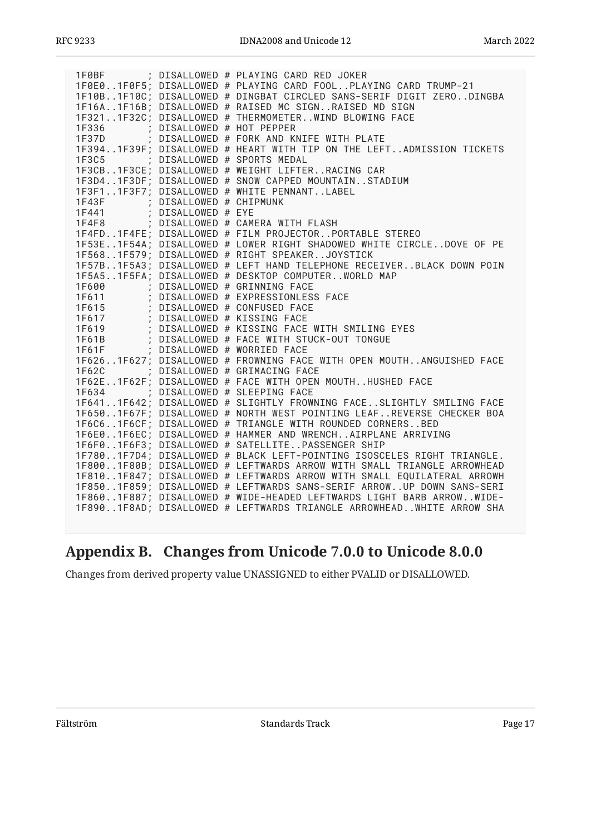|                                   |                           | 1F0BF ; DISALLOWED # PLAYING CARD RED JOKER                                                                                                                                                                                              |
|-----------------------------------|---------------------------|------------------------------------------------------------------------------------------------------------------------------------------------------------------------------------------------------------------------------------------|
|                                   |                           | 1F0E01F0F5; DISALLOWED # PLAYING CARD FOOLPLAYING CARD TRUMP-21                                                                                                                                                                          |
|                                   |                           | 1F10B1F10C; DISALLOWED # DINGBAT CIRCLED SANS-SERIF DIGIT ZERODINGBA                                                                                                                                                                     |
|                                   |                           | 1F16A1F16B; DISALLOWED # RAISED MC SIGNRAISED MD SIGN                                                                                                                                                                                    |
|                                   |                           | 1F3211F32C; DISALLOWED # THERMOMETERWIND BLOWING FACE                                                                                                                                                                                    |
| 1F336                             | ; DISALLOWED # HOT PEPPER |                                                                                                                                                                                                                                          |
|                                   |                           | 1F37D ; DISALLOWED # FORK AND KNIFE WITH PLATE                                                                                                                                                                                           |
|                                   |                           | 1F3941F39F; DISALLOWED # HEART WITH TIP ON THE LEFTADMISSION TICKETS                                                                                                                                                                     |
| 1F3C5 ; DISALLOWED # SPORTS MEDAL |                           |                                                                                                                                                                                                                                          |
|                                   |                           | 1F3CB1F3CE; DISALLOWED # WEIGHT LIFTERRACING CAR                                                                                                                                                                                         |
|                                   |                           | 1F3D41F3DF; DISALLOWED # SNOW CAPPED MOUNTAINSTADIUM                                                                                                                                                                                     |
|                                   |                           | 1F3F11F3F7; DISALLOWED # WHITE PENNANTLABEL                                                                                                                                                                                              |
| 1F43F ; DISALLOWED # CHIPMUNK     |                           |                                                                                                                                                                                                                                          |
|                                   |                           |                                                                                                                                                                                                                                          |
|                                   |                           | 1F441 ; DISALLOWED # EYE<br>1F4F8 ; DISALLOWED # CAMERA WITH FLASH                                                                                                                                                                       |
|                                   |                           | 1F4FD1F4FE; DISALLOWED # FILM PROJECTORPORTABLE STEREO                                                                                                                                                                                   |
|                                   |                           | 1F53E1F54A; DISALLOWED # LOWER RIGHT SHADOWED WHITE CIRCLEDOVE OF PE                                                                                                                                                                     |
|                                   |                           | 1F5681F579; DISALLOWED # RIGHT SPEAKERJOYSTICK                                                                                                                                                                                           |
|                                   |                           | 1F57B1F5A3; DISALLOWED # LEFT HAND TELEPHONE RECEIVERBLACK DOWN POIN                                                                                                                                                                     |
|                                   |                           | 1F5A51F5FA; DISALLOWED # DESKTOP COMPUTERWORLD MAP                                                                                                                                                                                       |
|                                   |                           | 1600 ; DISALLOWED # GRINNING FACE<br>1600 ; DISALLOWED # EXPRESSIONLESS FACE<br>1611 ; DISALLOWED # CONFUSED FACE<br>1617 ; DISALLOWED # KISSING FACE<br>1617 ; DISALLOWED # KISSING FACE<br>1619 ; DISALLOWED # KISSING FACE WITH SMILI |
|                                   |                           |                                                                                                                                                                                                                                          |
|                                   |                           |                                                                                                                                                                                                                                          |
|                                   |                           |                                                                                                                                                                                                                                          |
|                                   |                           |                                                                                                                                                                                                                                          |
|                                   |                           | 1F61B ; DISALLOWED # FACE WITH STUCK-OUT TONGUE                                                                                                                                                                                          |
| 1F61F                             |                           | ; DISALLOWED # WORRIED FACE                                                                                                                                                                                                              |
|                                   |                           | 1F6261F627; DISALLOWED # FROWNING FACE WITH OPEN MOUTHANGUISHED FACE                                                                                                                                                                     |
| 1F62C                             |                           | ; DISALLOWED # GRIMACING FACE                                                                                                                                                                                                            |
|                                   |                           | 1F62E1F62F; DISALLOWED # FACE WITH OPEN MOUTHHUSHED FACE                                                                                                                                                                                 |
|                                   |                           | 1F634 ; DISALLOWED # SLEEPING FACE                                                                                                                                                                                                       |
|                                   |                           | 1F6411F642; DISALLOWED # SLIGHTLY FROWNING FACESLIGHTLY SMILING FACE                                                                                                                                                                     |
|                                   |                           | 1F6501F67F; DISALLOWED # NORTH WEST POINTING LEAFREVERSE CHECKER BOA                                                                                                                                                                     |
|                                   |                           | 1F6C61F6CF; DISALLOWED # TRIANGLE WITH ROUNDED CORNERSBED                                                                                                                                                                                |
|                                   |                           | 1F6E01F6EC; DISALLOWED # HAMMER AND WRENCHAIRPLANE ARRIVING                                                                                                                                                                              |
|                                   |                           | 1F6F01F6F3; DISALLOWED # SATELLITEPASSENGER SHIP                                                                                                                                                                                         |
|                                   |                           | 1F7801F7D4; DISALLOWED # BLACK LEFT-POINTING ISOSCELES RIGHT TRIANGLE.                                                                                                                                                                   |
|                                   |                           | 1F8001F80B; DISALLOWED # LEFTWARDS ARROW WITH SMALL TRIANGLE ARROWHEAD                                                                                                                                                                   |
|                                   |                           | 1F8101F847; DISALLOWED # LEFTWARDS ARROW WITH SMALL EQUILATERAL ARROWH                                                                                                                                                                   |
|                                   |                           | 1F8501F859; DISALLOWED # LEFTWARDS SANS-SERIF ARROWUP DOWN SANS-SERI                                                                                                                                                                     |
|                                   |                           | 1F8601F887; DISALLOWED # WIDE-HEADED LEFTWARDS LIGHT BARB ARROWWIDE-                                                                                                                                                                     |
|                                   |                           | 1F8901F8AD; DISALLOWED # LEFTWARDS TRIANGLE ARROWHEADWHITE ARROW SHA                                                                                                                                                                     |
|                                   |                           |                                                                                                                                                                                                                                          |

# <span id="page-16-0"></span>**[Appendix B. Changes from Unicode 7.0.0 to Unicode 8.0.0](#page-16-0)**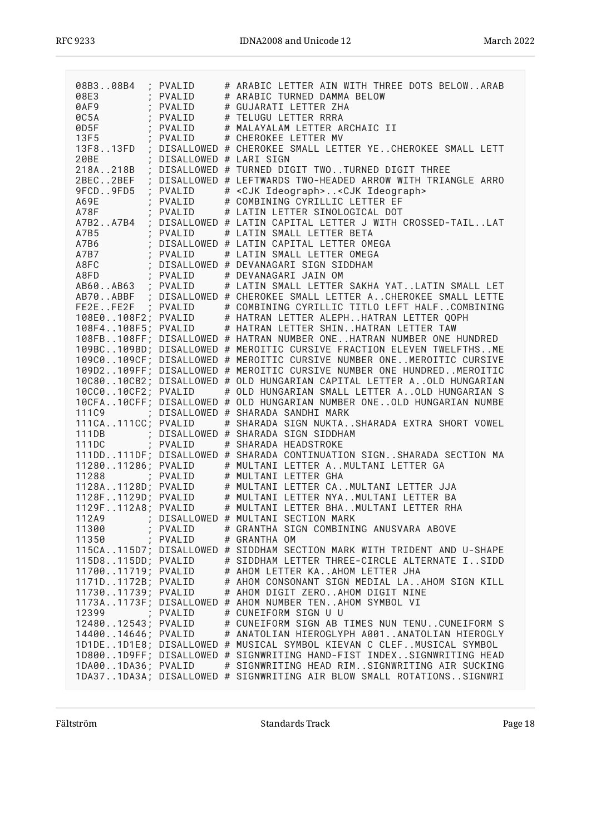| 08B308B4 ; PVALID                                                |                        | # ARABIC LETTER AIN WITH THREE DOTS BELOWARAB                                                                                                                                                                                          |
|------------------------------------------------------------------|------------------------|----------------------------------------------------------------------------------------------------------------------------------------------------------------------------------------------------------------------------------------|
| 08E3                                                             | ; PVALID<br>PVALID     | # ARABIC TURNED DAMMA BELOW                                                                                                                                                                                                            |
| $\sim 10^{-11}$ km $^{-1}$<br>0AF9                               |                        | # GUJARATI LETTER ZHA                                                                                                                                                                                                                  |
|                                                                  |                        | # TELUGU LETTER RRRA<br># MALAYALAM LETTER ARCHAIC II                                                                                                                                                                                  |
|                                                                  |                        | # CHEROKEE LETTER MV                                                                                                                                                                                                                   |
| OC5A ; PVALID<br>0D5F ; PVALID<br>13F5 ; PVALID<br>13F5 ; PVALID |                        | 13F813FD ; DISALLOWED # CHEROKEE SMALL LETTER YECHEROKEE SMALL LETT                                                                                                                                                                    |
| 20BE<br>$\sim 100$                                               | DISALLOWED # LARI SIGN |                                                                                                                                                                                                                                        |
|                                                                  |                        | 218A218B ; DISALLOWED # TURNED DIGIT TWOTURNED DIGIT THREE                                                                                                                                                                             |
|                                                                  |                        | 2BEC2BEF ; DISALLOWED # LEFTWARDS TWO-HEADED ARROW WITH TRIANGLE ARRO                                                                                                                                                                  |
| 9FCD9FD5 ; PVALID                                                |                        | # <cjk ideograph=""><cjk ideograph=""></cjk></cjk>                                                                                                                                                                                     |
| A69E<br>$\sim 10^{-11}$ km $^{-1}$                               | PVALID                 | # COMBINING CYRILLIC LETTER EF                                                                                                                                                                                                         |
| A78F                                                             |                        | ; PVALID # LATIN LETTER SINOLOGICAL DOT                                                                                                                                                                                                |
|                                                                  |                        | A7B2A7B4 ; DISALLOWED # LATIN CAPITAL LETTER J WITH CROSSED-TAILLAT                                                                                                                                                                    |
| A7B5                                                             |                        |                                                                                                                                                                                                                                        |
| A7B6                                                             |                        | DISALLOWED # LATIN CAPITAL LETTER OMEGA                                                                                                                                                                                                |
| A7B7                                                             |                        |                                                                                                                                                                                                                                        |
| A8FC                                                             |                        |                                                                                                                                                                                                                                        |
| A8FD                                                             |                        | : AYSA (PVALID # LATIN SMALL LETTER BETA<br>; DISALLOWED # LATIN CAPITAL LETTER OME<br>; PVALID # LATIN SMALL LETTER OMEGA<br>; DISALLOWED # DEVANAGARI SIGN SIDDHAM<br>: PVALID # DEVANAGARI JAIN OM<br>: PVALID # DEVANAGARI JAIN OM |
|                                                                  |                        | AB60AB63 ; PVALID # LATIN SMALL LETTER SAKHA YATLATIN SMALL LET                                                                                                                                                                        |
|                                                                  |                        | AB70ABBF ; DISALLOWED # CHEROKEE SMALL LETTER ACHEROKEE SMALL LETTE                                                                                                                                                                    |
|                                                                  |                        |                                                                                                                                                                                                                                        |
|                                                                  |                        | FE2EFE2F ; PVALID # COMBINING CYRILLIC TITLO LEFT HALFCOMBINING<br>108E0108F2; PVALID # HATRAN LETTER ALEPHHATRAN LETTER QOPH                                                                                                          |
|                                                                  |                        | 108F4108F5; PVALID # HATRAN LETTER SHINHATRAN LETTER TAW                                                                                                                                                                               |
|                                                                  |                        | 108FB108FF; DISALLOWED # HATRAN NUMBER ONEHATRAN NUMBER ONE HUNDRED                                                                                                                                                                    |
|                                                                  |                        | 109BC109BD; DISALLOWED # MEROITIC CURSIVE FRACTION ELEVEN TWELFTHSME                                                                                                                                                                   |
|                                                                  |                        | 109C0109CF; DISALLOWED # MEROITIC CURSIVE NUMBER ONEMEROITIC CURSIVE                                                                                                                                                                   |
|                                                                  |                        | 109D2109FF; DISALLOWED # MEROITIC CURSIVE NUMBER ONE HUNDREDMEROITIC                                                                                                                                                                   |
|                                                                  |                        | 10C8010CB2; DISALLOWED # OLD HUNGARIAN CAPITAL LETTER AOLD HUNGARIAN                                                                                                                                                                   |
| 10CC010CF2; PVALID                                               |                        | # OLD HUNGARIAN SMALL LETTER AOLD HUNGARIAN S                                                                                                                                                                                          |
|                                                                  |                        | 10CFA10CFF; DISALLOWED # OLD HUNGARIAN NUMBER ONEOLD HUNGARIAN NUMBE                                                                                                                                                                   |
|                                                                  |                        | 111C9 : DISALLOWED # SHARADA SANDHI MARK                                                                                                                                                                                               |
|                                                                  |                        | 111CA111CC; PVALID # SHARADA SIGN NUKTASHARADA EXTRA SHORT VOWEL                                                                                                                                                                       |
| 111DB                                                            |                        | ; DISALLOWED # SHARADA SIGN SIDDHAM                                                                                                                                                                                                    |
|                                                                  |                        | 111DC ; PVALID # SHARADA HEADSTROKE                                                                                                                                                                                                    |
|                                                                  |                        | 111DD111DF; DISALLOWED # SHARADA CONTINUATION SIGNSHARADA SECTION MA                                                                                                                                                                   |
|                                                                  |                        | 1128011286; PVALID # MULTANI LETTER AMULTANI LETTER GA                                                                                                                                                                                 |
|                                                                  |                        | 11288 ; PVALID # MULTANI LETTER GHA                                                                                                                                                                                                    |
|                                                                  |                        | 1128A1128D; PVALID # MULTANI LETTER CAMULTANI LETTER JJA<br>1128F1129D; PVALID # MULTANI LETTER NYAMULTANI LETTER BA<br>1129F112A8; PVALID # MULTANI LETTER BHAMULTANI LETTER RHA                                                      |
|                                                                  |                        |                                                                                                                                                                                                                                        |
|                                                                  |                        |                                                                                                                                                                                                                                        |
|                                                                  |                        | 112A9 ; DISALLOWED # MULTANI SECTION MARK                                                                                                                                                                                              |
| 11300                                                            | ; PVALID               | # GRANTHA SIGN COMBINING ANUSVARA ABOVE                                                                                                                                                                                                |
| 11350                                                            | ; PVALID               | # GRANTHA OM                                                                                                                                                                                                                           |
|                                                                  |                        | 115CA115D7; DISALLOWED # SIDDHAM SECTION MARK WITH TRIDENT AND U-SHAPE                                                                                                                                                                 |
| 115D8115DD; PVALID                                               |                        | # SIDDHAM LETTER THREE-CIRCLE ALTERNATE ISIDD                                                                                                                                                                                          |
| 1170011719; PVALID<br>1171D1172B; PVALID                         |                        | # AHOM LETTER KAAHOM LETTER JHA<br># AHOM CONSONANT SIGN MEDIAL LAAHOM SIGN KILL                                                                                                                                                       |
| 1173011739; PVALID                                               |                        | # AHOM DIGIT ZEROAHOM DIGIT NINE                                                                                                                                                                                                       |
|                                                                  |                        | 1173A1173F; DISALLOWED # AHOM NUMBER TENAHOM SYMBOL VI                                                                                                                                                                                 |
| 12399 ; PVALID                                                   |                        | # CUNEIFORM SIGN U U                                                                                                                                                                                                                   |
| 1248012543; PVALID                                               |                        | # CUNEIFORM SIGN AB TIMES NUN TENUCUNEIFORM S                                                                                                                                                                                          |
| 1440014646; PVALID                                               |                        | # ANATOLIAN HIEROGLYPH A001ANATOLIAN HIEROGLY                                                                                                                                                                                          |
|                                                                  |                        | 1D1DE1D1E8; DISALLOWED # MUSICAL SYMBOL KIEVAN C CLEFMUSICAL SYMBOL                                                                                                                                                                    |
|                                                                  |                        | 1D8001D9FF; DISALLOWED # SIGNWRITING HAND-FIST INDEXSIGNWRITING HEAD                                                                                                                                                                   |
| 1DA001DA36; PVALID                                               |                        | # SIGNWRITING HEAD RIMSIGNWRITING AIR SUCKING                                                                                                                                                                                          |
|                                                                  |                        | 1DA371DA3A; DISALLOWED # SIGNWRITING AIR BLOW SMALL ROTATIONSSIGNWRI                                                                                                                                                                   |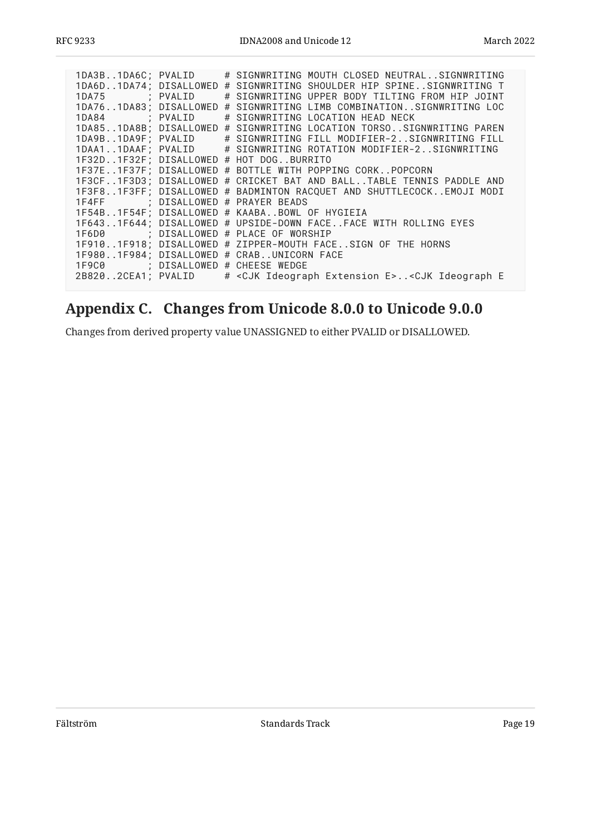| 1DA3B1DA6C; PVALID                |  | # SIGNWRITING MOUTH CLOSED NEUTRALSIGNWRITING<br>1DA6D1DA74; DISALLOWED # SIGNWRITING SHOULDER HIP SPINESIGNWRITING T |
|-----------------------------------|--|-----------------------------------------------------------------------------------------------------------------------|
|                                   |  |                                                                                                                       |
| 1DA75 ; PVALID                    |  | # SIGNWRITING UPPER BODY TILTING FROM HIP JOINT                                                                       |
|                                   |  | 1DA761DA83; DISALLOWED # SIGNWRITING LIMB COMBINATIONSIGNWRITING LOC                                                  |
| 1DA84 ; PVALID                    |  | # SIGNWRITING LOCATION HEAD NECK                                                                                      |
|                                   |  | 1DA851DA8B; DISALLOWED # SIGNWRITING LOCATION TORSOSIGNWRITING PAREN                                                  |
|                                   |  | 1DA9B1DA9F; PVALID # SIGNWRITING FILL MODIFIER-2SIGNWRITING FILL                                                      |
|                                   |  | 1DAA11DAAF; PVALID # SIGNWRITING ROTATION MODIFIER-2SIGNWRITING                                                       |
|                                   |  | 1F32D1F32F; DISALLOWED # HOT DOGBURRITO                                                                               |
|                                   |  | 1F37E1F37F; DISALLOWED # BOTTLE WITH POPPING CORKPOPCORN                                                              |
|                                   |  | 1F3CF1F3D3; DISALLOWED # CRICKET BAT AND BALLTABLE TENNIS PADDLE AND                                                  |
|                                   |  | 1F3F81F3FF; DISALLOWED # BADMINTON RACQUET AND SHUTTLECOCKEMOJI MODI                                                  |
| 1F4FF : DISALLOWED # PRAYER BEADS |  |                                                                                                                       |
|                                   |  | 1F54B1F54F; DISALLOWED # KAABABOWL OF HYGIEIA                                                                         |
|                                   |  | 1F6431F644; DISALLOWED # UPSIDE-DOWN FACEFACE WITH ROLLING EYES                                                       |
|                                   |  | 1F6D0 ; DISALLOWED # PLACE OF WORSHIP                                                                                 |
|                                   |  | 1F9101F918; DISALLOWED # ZIPPER-MOUTH FACESIGN OF THE HORNS                                                           |
|                                   |  | 1F9801F984; DISALLOWED # CRABUNICORN FACE                                                                             |
| 1F9C0 ; DISALLOWED # CHEESE WEDGE |  |                                                                                                                       |
|                                   |  | 2B8202CEA1; PVALID # <cjk e="" extension="" ideograph=""><cjk e<="" ideograph="" td=""></cjk></cjk>                   |
|                                   |  |                                                                                                                       |

# <span id="page-18-0"></span>**[Appendix C. Changes from Unicode 8.0.0 to Unicode 9.0.0](#page-18-0)**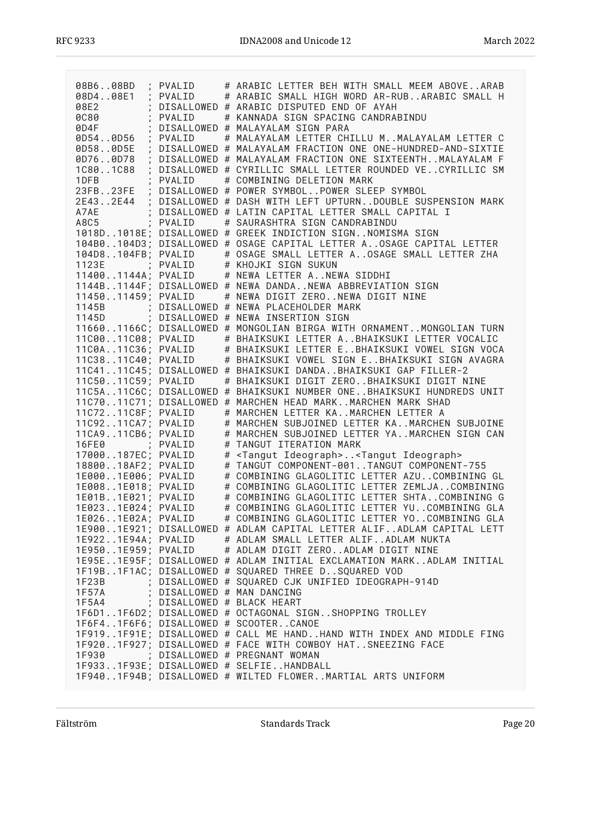| 08B608BD                                 |          | # ARABIC LETTER BEH WITH SMALL MEEM ABOVEARAB                                          |
|------------------------------------------|----------|----------------------------------------------------------------------------------------|
| 08D408E1                                 | ; PVALID | # ARABIC SMALL HIGH WORD AR-RUBARABIC SMALL H                                          |
| $\ddot{i}$                               | PVALID   |                                                                                        |
| 08E2                                     |          | DISALLOWED # ARABIC DISPUTED END OF AYAH                                               |
| <b>0C80</b>                              | PVALID   | # KANNADA SIGN SPACING CANDRABINDU                                                     |
| 0D4F                                     |          | DISALLOWED # MALAYALAM SIGN PARA                                                       |
| 0D540D56                                 | PVALID   | # MALAYALAM LETTER CHILLU M. . MALAYALAM LETTER C                                      |
| 0D580D5E                                 |          | DISALLOWED # MALAYALAM FRACTION ONE ONE-HUNDRED-AND-SIXTIE                             |
| 0D760D78                                 |          | DISALLOWED # MALAYALAM FRACTION ONE SIXTEENTHMALAYALAM F                               |
| 1C801C88                                 |          | DISALLOWED # CYRILLIC SMALL LETTER ROUNDED VECYRILLIC SM                               |
| 1DFB                                     | PVAI TD  | # COMBINING DELETION MARK                                                              |
| 23FB23FE<br>$\frac{1}{2}$                |          | DISALLOWED # POWER SYMBOLPOWER SLEEP SYMBOL                                            |
| 2E432E44                                 |          | DISALLOWED # DASH WITH LEFT UPTURNDOUBLE SUSPENSION MARK                               |
| A7AE                                     |          | ; DISALLOWED # LATIN CAPITAL LETTER SMALL CAPITAL I                                    |
| A8C5                                     | : PVALID | # SAURASHTRA SIGN CANDRABINDU                                                          |
|                                          |          | 1018D1018E; DISALLOWED # GREEK INDICTION SIGNNOMISMA SIGN                              |
|                                          |          | 104B0104D3; DISALLOWED # OSAGE CAPITAL LETTER AOSAGE CAPITAL LETTER                    |
| 104D8104FB; PVALID                       |          | # OSAGE SMALL LETTER AOSAGE SMALL LETTER ZHA                                           |
| 1123E                                    |          | : PVALID # KHOJKI SIGN SUKUN<br>; PVALID # KHOJKI SIGN SUKUN                           |
|                                          |          | 114001144A; PVALID # NEWA LETTER ANEWA SIDDHI                                          |
|                                          |          | 1144B1144F; DISALLOWED # NEWA DANDANEWA ABBREVIATION SIGN                              |
| 1145011459; PVALID                       |          | # NEWA DIGIT ZERONEWA DIGIT NINE                                                       |
|                                          |          |                                                                                        |
|                                          |          | 1145B ; DISALLOWED # NEWA PLACEHOLDER MARK<br>1145D ; DISALLOWED # NEWA INSERTION SIGN |
|                                          |          | 116601166C; DISALLOWED # MONGOLIAN BIRGA WITH ORNAMENTMONGOLIAN TURN                   |
|                                          |          | # BHAIKSUKI LETTER ABHAIKSUKI LETTER VOCALIC                                           |
| 11C0011C08; PVALID<br>11C0A11C36; PVALID |          | # BHAIKSUKI LETTER EBHAIKSUKI VOWEL SIGN VOCA                                          |
| 11C3811C40; PVALID                       |          | # BHAIKSUKI VOWEL SIGN EBHAIKSUKI SIGN AVAGRA                                          |
|                                          |          | 11C4111C45; DISALLOWED # BHAIKSUKI DANDABHAIKSUKI GAP FILLER-2                         |
| 11C5011C59; PVALID                       |          | # BHAIKSUKI DIGIT ZEROBHAIKSUKI DIGIT NINE                                             |
|                                          |          | 11C5A11C6C; DISALLOWED # BHAIKSUKI NUMBER ONEBHAIKSUKI HUNDREDS UNIT                   |
|                                          |          | 11C7011C71; DISALLOWED # MARCHEN HEAD MARKMARCHEN MARK SHAD                            |
| 11C7211C8F; PVALID                       |          | # MARCHEN LETTER KAMARCHEN LETTER A                                                    |
| 11C9211CA7; PVALID                       |          | # MARCHEN SUBJOINED LETTER KAMARCHEN SUBJOINE                                          |
| 11CA911CB6; PVALID                       |          | # MARCHEN SUBJOINED LETTER YAMARCHEN SIGN CAN                                          |
| 16FE0 ; PVALID                           |          | # TANGUT ITERATION MARK                                                                |
| 17000187EC; PVALID                       |          | # <tangut ideograph=""><tangut ideograph=""></tangut></tangut>                         |
| 1880018AF2; PVALID                       |          | # TANGUT COMPONENT-001TANGUT COMPONENT-755                                             |
| 1E0001E006; PVALID                       |          | # COMBINING GLAGOLITIC LETTER AZUCOMBINING GL                                          |
| 1E0081E018; PVALID                       |          | # COMBINING GLAGOLITIC LETTER ZEMLJACOMBINING                                          |
| 1E01B1E021; PVALID                       |          | # COMBINING GLAGOLITIC LETTER SHTACOMBINING G                                          |
| 1E0231E024; PVALID                       |          | # COMBINING GLAGOLITIC LETTER YUCOMBINING GLA                                          |
| 1E0261E02A; PVALID                       |          | # COMBINING GLAGOLITIC LETTER YOCOMBINING GLA                                          |
|                                          |          | 1E9001E921; DISALLOWED # ADLAM CAPITAL LETTER ALIFADLAM CAPITAL LETT                   |
|                                          |          | 1E9221E94A; PVALID # ADLAM SMALL LETTER ALIFADLAM NUKTA                                |
|                                          |          | 1E9501E959; PVALID # ADLAM DIGIT ZEROADLAM DIGIT NINE                                  |
|                                          |          | 1E95E1E95F; DISALLOWED # ADLAM INITIAL EXCLAMATION MARKADLAM INITIAL                   |
|                                          |          | 1F19B1F1AC; DISALLOWED # SQUARED THREE DSQUARED VOD                                    |
|                                          |          | 1F23B ; DISALLOWED # SQUARED CJK UNIFIED IDEOGRAPH-914D                                |
| 1F57A                                    |          | ; DISALLOWED # MAN DANCING                                                             |
| 1F5A4 ; DISALLOWED # BLACK HEART         |          |                                                                                        |
|                                          |          | 1F6D11F6D2; DISALLOWED # OCTAGONAL SIGNSHOPPING TROLLEY                                |
|                                          |          | 1F6F41F6F6; DISALLOWED # SCOOTERCANOE                                                  |
|                                          |          | 1F9191F91E; DISALLOWED # CALL ME HANDHAND WITH INDEX AND MIDDLE FING                   |
|                                          |          | 1F9201F927; DISALLOWED # FACE WITH COWBOY HATSNEEZING FACE                             |
|                                          |          | 1F930 ; DISALLOWED # PREGNANT WOMAN                                                    |
|                                          |          | 1F9331F93E; DISALLOWED # SELFIEHANDBALL                                                |
|                                          |          | 1F9401F94B; DISALLOWED # WILTED FLOWERMARTIAL ARTS UNIFORM                             |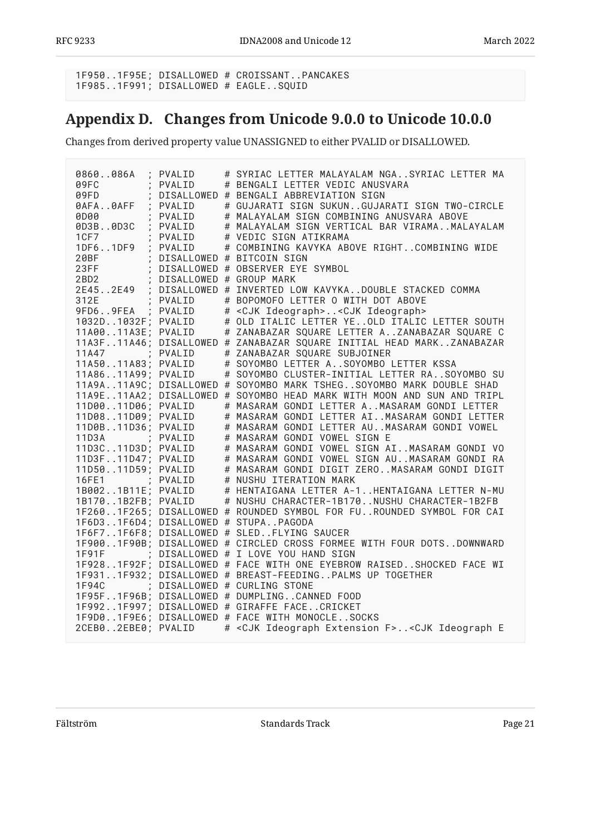<span id="page-20-0"></span>1F950..1F95E; DISALLOWED # CROISSANT..PANCAKES 1F985..1F991; DISALLOWED # EAGLE..SQUID

# **[Appendix D. Changes from Unicode 9.0.0 to Unicode 10.0.0](#page-20-0)**

| PVALID<br>0860086A                                                                                        | # SYRIAC LETTER MALAYALAM NGASYRIAC LETTER MA                                                                                                                                                                                      |
|-----------------------------------------------------------------------------------------------------------|------------------------------------------------------------------------------------------------------------------------------------------------------------------------------------------------------------------------------------|
| 09FC<br>PVALID                                                                                            | # BENGALI LETTER VEDIC ANUSVARA                                                                                                                                                                                                    |
| $\begin{array}{c}\n\cdot & \cdot \\ \cdot & \cdot \\ \cdot & \cdot \\ \cdot & \cdot\n\end{array}$<br>09FD | DISALLOWED # BENGALI ABBREVIATION SIGN                                                                                                                                                                                             |
| 0AFA0AFF<br>; PVALID                                                                                      | # GUJARATI SIGN SUKUNGUJARATI SIGN TWO-CIRCLE                                                                                                                                                                                      |
| ; PVALID<br>0D00                                                                                          | # MALAYALAM SIGN COMBINING ANUSVARA ABOVE                                                                                                                                                                                          |
| 0D3B0D3C<br>$\ddot{ }$<br>PVALID                                                                          | # MALAYALAM SIGN VERTICAL BAR VIRAMAMALAYALAM                                                                                                                                                                                      |
| PVALID<br>1 C F 7<br>$\overline{1}$                                                                       | # VEDIC SIGN ATIKRAMA                                                                                                                                                                                                              |
| 1DF61DF9 ; PVALID                                                                                         | # COMBINING KAVYKA ABOVE RIGHTCOMBINING WIDE                                                                                                                                                                                       |
|                                                                                                           | 20BF<br>28TF : DISALLOWED # BITCOIN SIGN<br>28TF : DISALLOWED # OBSERVER EYE SYMBOL<br>2BD2 : DISALLOWED # GROUP MARK<br>2E452E49 : DISALLOWED # INVERTED LOW KAVYKADOUBLE STACKED COMMA<br>1914 INVERTED LOW KAVYKADOUBLE STACKED |
|                                                                                                           |                                                                                                                                                                                                                                    |
|                                                                                                           |                                                                                                                                                                                                                                    |
|                                                                                                           |                                                                                                                                                                                                                                    |
| ; PVALID                                                                                                  |                                                                                                                                                                                                                                    |
| 9FD69FEA ; PVALID                                                                                         | # <cjk ideograph=""><cjk ideograph=""></cjk></cjk>                                                                                                                                                                                 |
| 1032D1032F; PVALID                                                                                        | # OLD ITALIC LETTER YEOLD ITALIC LETTER SOUTH                                                                                                                                                                                      |
| 11A0011A3E; PVALID                                                                                        | # ZANABAZAR SQUARE LETTER AZANABAZAR SQUARE C                                                                                                                                                                                      |
|                                                                                                           | 11A3F11A46; DISALLOWED # ZANABAZAR SQUARE INITIAL HEAD MARKZANABAZAR                                                                                                                                                               |
| 11A47 : PVALID                                                                                            | # ZANABAZAR SQUARE SUBJOINER                                                                                                                                                                                                       |
| 11A5011A83; PVALID                                                                                        | # SOYOMBO LETTER ASOYOMBO LETTER KSSA                                                                                                                                                                                              |
| 11A8611A99; PVALID                                                                                        | # SOYOMBO CLUSTER-INITIAL LETTER RASOYOMBO SU                                                                                                                                                                                      |
|                                                                                                           | 11A9A11A9C; DISALLOWED # SOYOMBO MARK TSHEGSOYOMBO MARK DOUBLE SHAD                                                                                                                                                                |
|                                                                                                           | 11A9E11AA2; DISALLOWED # SOYOMBO HEAD MARK WITH MOON AND SUN AND TRIPL                                                                                                                                                             |
| 11D0011D06; PVALID                                                                                        | # MASARAM GONDI LETTER AMASARAM GONDI LETTER                                                                                                                                                                                       |
| 11D0811D09; PVALID                                                                                        | # MASARAM GONDI LETTER AIMASARAM GONDI LETTER                                                                                                                                                                                      |
| 11D0B11D36; PVALID                                                                                        | # MASARAM GONDI LETTER AUMASARAM GONDI VOWEL                                                                                                                                                                                       |
| 11D3A ; PVALID                                                                                            | # MASARAM GONDI VOWEL SIGN E                                                                                                                                                                                                       |
| 11D3C11D3D; PVALID                                                                                        | # MASARAM GONDI VOWEL SIGN AIMASARAM GONDI VO                                                                                                                                                                                      |
| 11D3F11D47; PVALID                                                                                        | # MASARAM GONDI VOWEL SIGN AUMASARAM GONDI RA                                                                                                                                                                                      |
| 11D5011D59; PVALID                                                                                        | # MASARAM GONDI DIGIT ZEROMASARAM GONDI DIGIT                                                                                                                                                                                      |
| 16FE1 ; PVALID                                                                                            | # NUSHU ITERATION MARK                                                                                                                                                                                                             |
| 1B0021B11E; PVALID                                                                                        | # HENTAIGANA LETTER A-1HENTAIGANA LETTER N-MU                                                                                                                                                                                      |
| 1B1701B2FB; PVALID                                                                                        | # NUSHU CHARACTER-1B170NUSHU CHARACTER-1B2FB                                                                                                                                                                                       |
|                                                                                                           | 1F2601F265; DISALLOWED # ROUNDED SYMBOL FOR FUROUNDED SYMBOL FOR CAI                                                                                                                                                               |
| 1F6D31F6D4; DISALLOWED # STUPAPAGODA                                                                      |                                                                                                                                                                                                                                    |
| 1F6F71F6F8; DISALLOWED # SLEDFLYING SAUCER                                                                |                                                                                                                                                                                                                                    |
|                                                                                                           | 1F9001F90B; DISALLOWED # CIRCLED CROSS FORMEE WITH FOUR DOTSDOWNWARD                                                                                                                                                               |
| 1F91F ; DISALLOWED # I LOVE YOU HAND SIGN                                                                 |                                                                                                                                                                                                                                    |
|                                                                                                           | 1F9281F92F; DISALLOWED # FACE WITH ONE EYEBROW RAISEDSHOCKED FACE WI                                                                                                                                                               |
|                                                                                                           | 1F9311F932; DISALLOWED # BREAST-FEEDINGPALMS UP TOGETHER                                                                                                                                                                           |
| ; DISALLOWED # CURLING STONE<br>1F94C                                                                     |                                                                                                                                                                                                                                    |
| 1F95F1F96B; DISALLOWED # DUMPLINGCANNED FOOD                                                              |                                                                                                                                                                                                                                    |
| 1F9921F997; DISALLOWED # GIRAFFE FACECRICKET                                                              |                                                                                                                                                                                                                                    |
|                                                                                                           |                                                                                                                                                                                                                                    |
|                                                                                                           | 1F9D01F9E6; DISALLOWED # FACE WITH MONOCLESOCKS                                                                                                                                                                                    |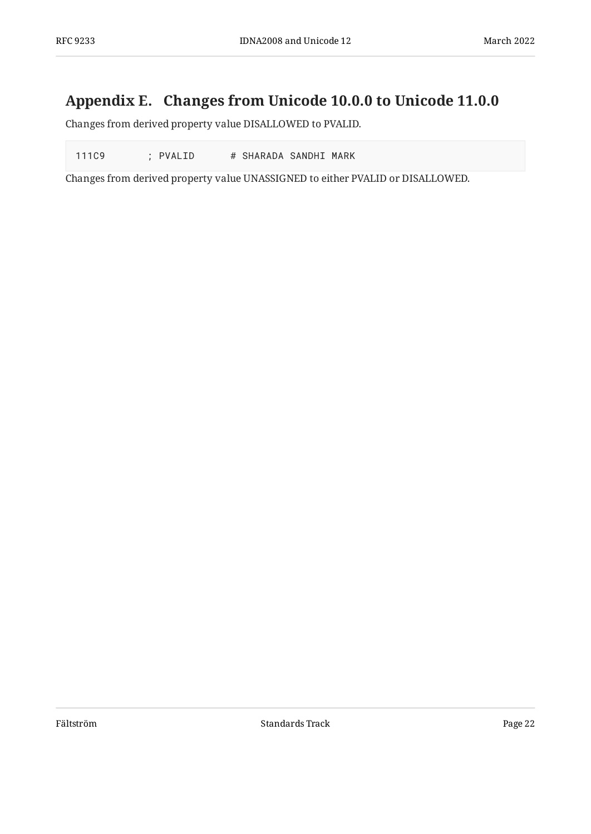# <span id="page-21-0"></span>**[Appendix E. Changes from Unicode 10.0.0 to Unicode 11.0.0](#page-21-0)**

Changes from derived property value DISALLOWED to PVALID.

111C9 ; PVALID # SHARADA SANDHI MARK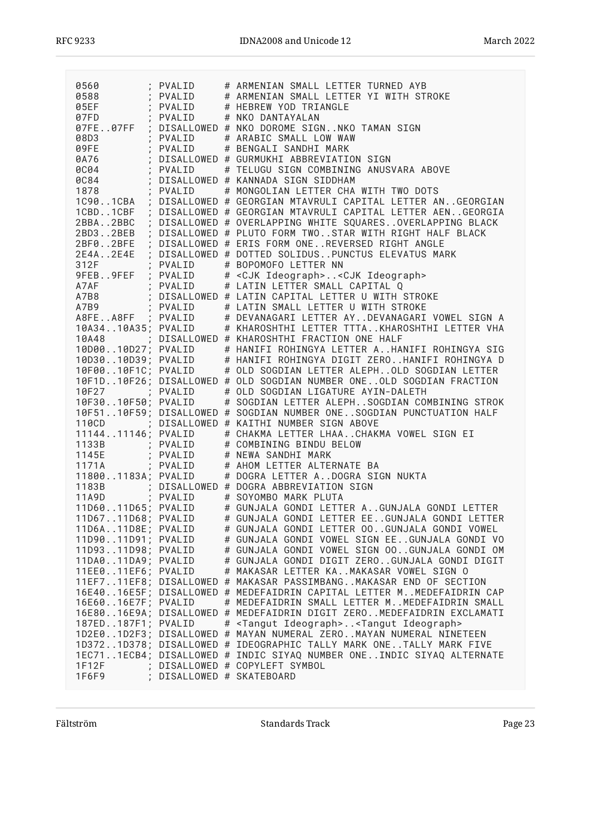|                    |                         | 0560 ; PVALID # ARMENIAN SMALL LETTER TURNED AYB<br>0588 ; PVALID # ARMENIAN SMALL LETTER YI WITH STROKE<br>07FD ; PVALID # HEBREW YOD TRIANGLE<br>07FD ; PVALID # NKO DANTAYALAN<br>07FD ; DISALLOWED # NKO DOROME SIGNNKO TAMAN SI |
|--------------------|-------------------------|--------------------------------------------------------------------------------------------------------------------------------------------------------------------------------------------------------------------------------------|
|                    |                         |                                                                                                                                                                                                                                      |
|                    |                         |                                                                                                                                                                                                                                      |
|                    |                         |                                                                                                                                                                                                                                      |
|                    |                         |                                                                                                                                                                                                                                      |
|                    |                         | 1CBD1CBF ; DISALLOWED # GEORGIAN MTAVRULI CAPITAL LETTER AENGEORGIA<br>2BBA2BBC ; DISALLOWED # OVERLAPPING WHITE SQUARESOVERLAPPING BLACK                                                                                            |
|                    |                         | 2BD32BEB ; DISALLOWED # PLUTO FORM TWOSTAR WITH RIGHT HALF BLACK                                                                                                                                                                     |
|                    |                         | 2BF02BFE ; DISALLOWED # ERIS FORM ONEREVERSED RIGHT ANGLE                                                                                                                                                                            |
|                    |                         |                                                                                                                                                                                                                                      |
|                    |                         |                                                                                                                                                                                                                                      |
|                    |                         |                                                                                                                                                                                                                                      |
|                    |                         |                                                                                                                                                                                                                                      |
|                    |                         |                                                                                                                                                                                                                                      |
|                    |                         |                                                                                                                                                                                                                                      |
|                    |                         |                                                                                                                                                                                                                                      |
|                    |                         | 2E4A2E4E ; DISALLOWED # ERIS FORM ONLRLYLROLD RIGHT ANGLE<br>2E4A2E4E ; DISALLOWED # DOTTED SOLIDUSPUNCTUS ELEVATUS MARK<br>312F ; PVALID # SOPOMOFO LETTER NN<br>9FEB9FEF ; PVALID # LATIN LETTER SMALL CAPITAL Q<br>A7AF ;         |
|                    |                         | 10A3410A35; PVALID # KHAROSHTHI LETTER TTTAKHAROSHTHI LETTER VHA                                                                                                                                                                     |
|                    |                         | 10A48 ; DISALLOWED # KHAROSHTHI FRACTION ONE HALF                                                                                                                                                                                    |
|                    |                         |                                                                                                                                                                                                                                      |
|                    |                         | 1000010027; PVALID # HANIFI ROHINGYA LETTER AHANIFI ROHINGYA SIG<br>1003010039; PVALID # HANIFI ROHINGYA DIGIT ZEROHANIFI ROHINGYA D                                                                                                 |
|                    |                         | 10F0010F1C; PVALID # OLD SOGDIAN LETTER ALEPHOLD SOGDIAN LETTER                                                                                                                                                                      |
|                    |                         | 10F1D10F26; DISALLOWED # OLD SOGDIAN NUMBER ONEOLD SOGDIAN FRACTION                                                                                                                                                                  |
|                    |                         |                                                                                                                                                                                                                                      |
|                    |                         |                                                                                                                                                                                                                                      |
|                    |                         | 10F5110F59; DISALLOWED # SOGDIAN NUMBER ONESOGDIAN PUNCTUATION HALF                                                                                                                                                                  |
|                    |                         | 110CD ; DISALLOWED # KAITHI NUMBER SIGN ABOVE                                                                                                                                                                                        |
|                    |                         |                                                                                                                                                                                                                                      |
|                    |                         | 1114411146; PVALID # CHAKMA LETTER LHAACHAKMA VOWEL SIGN EI<br>1133B ; PVALID # COMBINING BINDU BELOW<br>1145E ; PVALID # NEWA SANDHI MARK                                                                                           |
|                    |                         |                                                                                                                                                                                                                                      |
|                    |                         | 1171A ; PVALID # AHOM LETTER ALTERNATE BA                                                                                                                                                                                            |
|                    |                         |                                                                                                                                                                                                                                      |
|                    |                         | 118001183A; PVALID # DOGRA LETTER ADOGRA SIGN NUKTA                                                                                                                                                                                  |
|                    |                         | 1183B ; DISALLOWED # DOGRA ABBREVIATION SIGN<br>11A9D ; PVALID # SOYOMBO MARK PLUTA                                                                                                                                                  |
|                    |                         |                                                                                                                                                                                                                                      |
|                    |                         | 11D6011D65; PVALID # GUNJALA GONDI LETTER AGUNJALA GONDI LETTER                                                                                                                                                                      |
|                    |                         | 11D6711D68; PVALID # GUNJALA GONDI LETTER EEGUNJALA GONDI LETTER                                                                                                                                                                     |
| 11D6A11D8E; PVALID |                         | # GUNJALA GONDI LETTER 00GUNJALA GONDI VOWEL                                                                                                                                                                                         |
| 11D9011D91; PVALID |                         | # GUNJALA GONDI VOWEL SIGN EEGUNJALA GONDI VO                                                                                                                                                                                        |
| 11D9311D98; PVALID |                         | # GUNJALA GONDI VOWEL SIGN 00GUNJALA GONDI OM                                                                                                                                                                                        |
| 11DA011DA9; PVALID |                         | # GUNJALA GONDI DIGIT ZEROGUNJALA GONDI DIGIT                                                                                                                                                                                        |
| 11EE011EF6; PVALID |                         | # MAKASAR LETTER KAMAKASAR VOWEL SIGN O                                                                                                                                                                                              |
|                    |                         | 11EF711EF8; DISALLOWED # MAKASAR PASSIMBANGMAKASAR END OF SECTION                                                                                                                                                                    |
|                    |                         | 16E4016E5F; DISALLOWED # MEDEFAIDRIN CAPITAL LETTER MMEDEFAIDRIN CAP                                                                                                                                                                 |
| 16E6016E7F; PVALID |                         | # MEDEFAIDRIN SMALL LETTER MMEDEFAIDRIN SMALL                                                                                                                                                                                        |
|                    |                         | 16E8016E9A; DISALLOWED # MEDEFAIDRIN DIGIT ZEROMEDEFAIDRIN EXCLAMATI                                                                                                                                                                 |
| 187ED187F1; PVALID |                         | # <tangut ideograph=""><tangut ideograph=""></tangut></tangut>                                                                                                                                                                       |
|                    |                         | 1D2E01D2F3; DISALLOWED # MAYAN NUMERAL ZEROMAYAN NUMERAL NINETEEN                                                                                                                                                                    |
|                    |                         | 1D3721D378; DISALLOWED # IDEOGRAPHIC TALLY MARK ONETALLY MARK FIVE                                                                                                                                                                   |
|                    |                         |                                                                                                                                                                                                                                      |
|                    |                         | 1EC711ECB4; DISALLOWED # INDIC SIYAQ NUMBER ONEINDIC SIYAQ ALTERNATE                                                                                                                                                                 |
| 1F12F              |                         | ; DISALLOWED # COPYLEFT SYMBOL                                                                                                                                                                                                       |
| 1F6F9              | DISALLOWED # SKATEBOARD |                                                                                                                                                                                                                                      |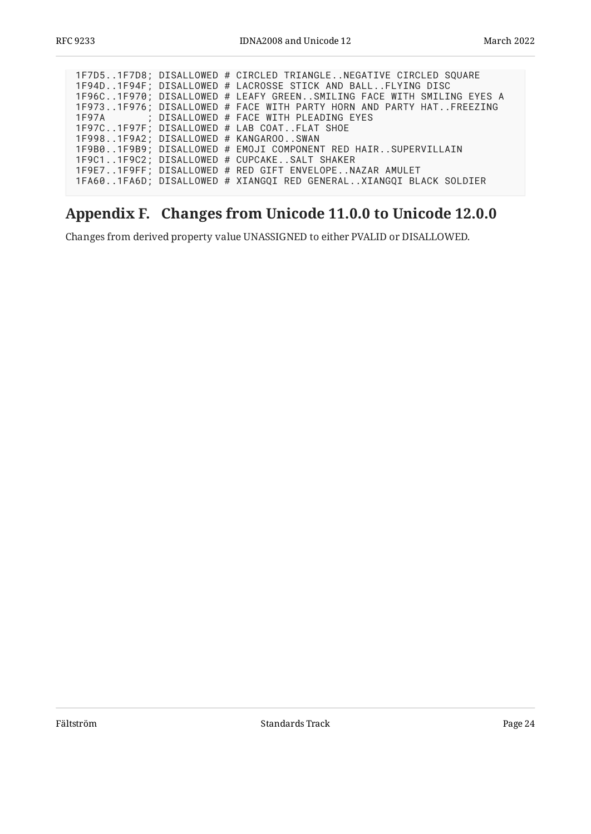|  |  | 1F7D51F7D8; DISALLOWED # CIRCLED TRIANGLENEGATIVE CIRCLED SQUARE     |
|--|--|----------------------------------------------------------------------|
|  |  | 1F94D1F94F; DISALLOWED # LACROSSE STICK AND BALLFLYING DISC          |
|  |  | 1F96C1F970; DISALLOWED # LEAFY GREENSMILING FACE WITH SMILING EYES A |
|  |  | 1F9731F976; DISALLOWED # FACE WITH PARTY HORN AND PARTY HATFREEZING  |
|  |  | 1F97A ; DISALLOWED # FACE WITH PLEADING EYES                         |
|  |  | 1F97C1F97F; DISALLOWED # LAB COATFLAT SHOE                           |
|  |  | 1F9981F9A2; DISALLOWED # KANGAROOSWAN                                |
|  |  | 1F9B01F9B9; DISALLOWED # EMOJI COMPONENT RED HAIRSUPERVILLAIN        |
|  |  | 1F9C11F9C2; DISALLOWED # CUPCAKESALT SHAKER                          |
|  |  | 1F9E71F9FF; DISALLOWED # RED GIFT ENVELOPENAZAR AMULET               |
|  |  | 1FA601FA6D; DISALLOWED # XIANGQI RED GENERALXIANGQI BLACK SOLDIER    |
|  |  |                                                                      |

# <span id="page-23-0"></span>**[Appendix F. Changes from Unicode 11.0.0 to Unicode 12.0.0](#page-23-0)**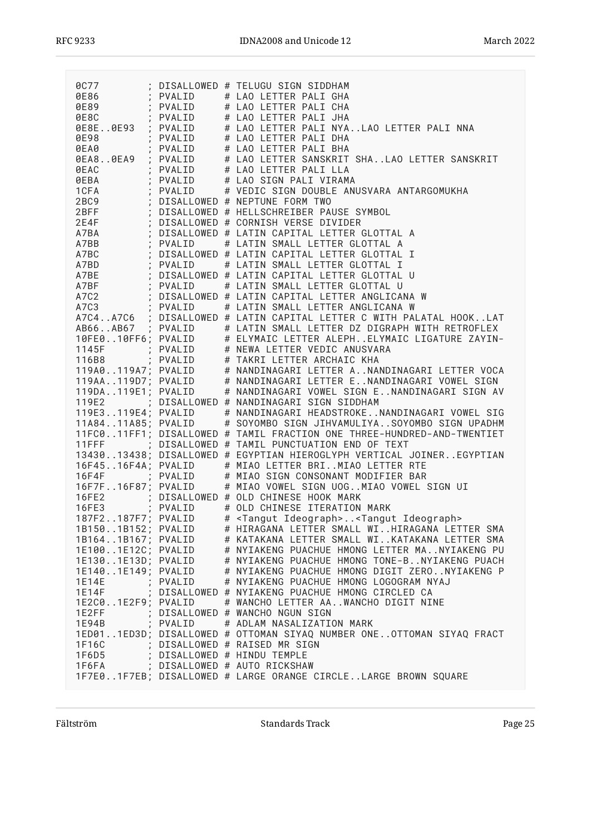|                    |          | 1977 (DISALLOWED # TELUGU SIGN SIDDHAM<br>1986 (PVALID → # LAO LETTER PALI GHA<br>1989 (PVALID → # LAO LETTER PALI CHA                                                                                                                     |
|--------------------|----------|--------------------------------------------------------------------------------------------------------------------------------------------------------------------------------------------------------------------------------------------|
|                    |          | 0E8C : PVALID # LAO LETTER PALI JHA<br>0E8E0E93 : PVALID # LAO LETTER PALI JHA<br>0E8E0E93 : PVALID # LAO LETTER PALI NYALAO LETTER PALI NNA<br>0E80 : PVALID # LAO LETTER PALI DHA<br>0EA0 : PVALID # LAO LETTER SANSKRIT SHA             |
|                    |          |                                                                                                                                                                                                                                            |
|                    |          |                                                                                                                                                                                                                                            |
|                    |          |                                                                                                                                                                                                                                            |
|                    |          |                                                                                                                                                                                                                                            |
|                    |          |                                                                                                                                                                                                                                            |
|                    |          | 9EAC ; PVALID # LAO LETTER PALI LLA<br>9EBA ; PVALID # LAO SIGN PALI VIRAMA<br>1CFA ; PVALID # VEDIC SIGN DOUBLE ANUSVARA ANTARGOMUKHA<br>2BC9 ; DISALLOWED # NEPTUNE FORM TWO                                                             |
|                    |          |                                                                                                                                                                                                                                            |
|                    |          |                                                                                                                                                                                                                                            |
|                    |          |                                                                                                                                                                                                                                            |
|                    |          |                                                                                                                                                                                                                                            |
|                    |          |                                                                                                                                                                                                                                            |
|                    |          |                                                                                                                                                                                                                                            |
|                    |          | 2BFF ; DISALLOWED # HELLSCHREIBER PAUSE SYMBOL<br>2E4F ; DISALLOWED # CORNISH VERSE DIVIDER<br>A7BA ; DISALLOWED # LATIN CAPITAL LETTER GLOTTAL A<br>A7BB ; PVALID (# LATIN SMALL LETTER GLOTTAL A<br>PVALID (# LATIN SMALL LETTER GLOTTAL |
|                    |          |                                                                                                                                                                                                                                            |
|                    |          |                                                                                                                                                                                                                                            |
|                    |          |                                                                                                                                                                                                                                            |
|                    |          |                                                                                                                                                                                                                                            |
|                    |          |                                                                                                                                                                                                                                            |
|                    |          |                                                                                                                                                                                                                                            |
|                    |          | A7BO ; PVALID # LATIN SMALL LETTER GLOTTAL I<br>A7BO ; DISALLOWED # LATIN CAPITAL LETTER GLOTTAL I<br>A7BE ; DISALLOWED # LATIN CAPITAL LETTER GLOTTAL I<br>A7BE ; PVALID # LATIN CAPITAL LETTER GLOTTAL U<br>A7BF ; PVALID # LATIN SMALL  |
|                    |          |                                                                                                                                                                                                                                            |
|                    |          | AB66AB67 ; PVALID # LATIN SMALL LETTER DZ DIGRAPH WITH RETROFLEX<br>10FE010FF6; PVALID # ELYMAIC LETTER ALEPHELYMAIC LIGATURE ZAYIN-                                                                                                       |
|                    |          |                                                                                                                                                                                                                                            |
|                    |          |                                                                                                                                                                                                                                            |
|                    |          |                                                                                                                                                                                                                                            |
|                    |          | 1145F ; PVALID # NEWA LETTER VEDIC ANUSVARA<br>116B8 ; PVALID # TAKRI LETTER ARCHAIC KHA<br>119A0119A7; PVALID # NANDINAGARI LETTER ANANDINAGARI LETTER VOCA<br>119AA119D7; PVALID # NANDINAGARI LETTER ENANDINAGARI VOWEL SIGN            |
|                    |          | 119DA119E1; PVALID # NANDINAGARI VOWEL SIGN ENANDINAGARI SIGN AV                                                                                                                                                                           |
|                    |          |                                                                                                                                                                                                                                            |
|                    |          | 119E2 ; DISALLOWED # NANDINAGARI SIGN SIDDHAM                                                                                                                                                                                              |
|                    |          | 119E3119E4; PVALID # NANDINAGARI HEADSTROKENANDINAGARI VOWEL SIG<br>11A8411A85; PVALID # SOYOMBO SIGN JIHVAMULIYASOYOMBO SIGN UPADHM                                                                                                       |
|                    |          |                                                                                                                                                                                                                                            |
|                    |          | 11FC011FF1; DISALLOWED # TAMIL FRACTION ONE THREE-HUNDRED-AND-TWENTIET                                                                                                                                                                     |
|                    |          | 11FFF ; DISALLOWED # TAMIL PUNCTUATION END OF TEXT                                                                                                                                                                                         |
|                    |          | 1343013438; DISALLOWED # EGYPTIAN HIEROGLYPH VERTICAL JOINEREGYPTIAN                                                                                                                                                                       |
|                    |          | 16F4516F4A; PVALID # MIAO LETTER BRIMIAO LETTER RTE<br>16F4F : PVALID # MIAO SIGN CONSONANT MODIFIER BAR                                                                                                                                   |
|                    |          |                                                                                                                                                                                                                                            |
|                    |          | 16F7F16F87; PVALID # MIAO VOWEL SIGN UOGMIAO VOWEL SIGN UI                                                                                                                                                                                 |
|                    |          | 16FE2 ; DISALLOWED # OLD CHINESE HOOK MARK<br>16FE3 ; PVALID # OLD CHINESE ITERATION MARK                                                                                                                                                  |
|                    |          |                                                                                                                                                                                                                                            |
|                    |          | 187F2187F7; PVALID # <tangut ideograph=""><tangut ideograph=""></tangut></tangut>                                                                                                                                                          |
| 1B1501B152; PVALID |          | # HIRAGANA LETTER SMALL WIHIRAGANA LETTER SMA                                                                                                                                                                                              |
| 1B1641B167; PVALID |          | # KATAKANA LETTER SMALL WIKATAKANA LETTER SMA                                                                                                                                                                                              |
| 1E1001E12C; PVALID |          | # NYIAKENG PUACHUE HMONG LETTER MANYIAKENG PU                                                                                                                                                                                              |
| 1E1301E13D; PVALID |          | # NYIAKENG PUACHUE HMONG TONE-BNYIAKENG PUACH                                                                                                                                                                                              |
| 1E1401E149; PVALID |          | # NYIAKENG PUACHUE HMONG DIGIT ZERONYIAKENG P                                                                                                                                                                                              |
| 1E14E              | ; PVALID | # NYIAKENG PUACHUE HMONG LOGOGRAM NYAJ                                                                                                                                                                                                     |
| 1E14F              |          | ; DISALLOWED # NYIAKENG PUACHUE HMONG CIRCLED CA                                                                                                                                                                                           |
| 1E2C01E2F9; PVALID |          | # WANCHO LETTER AAWANCHO DIGIT NINE                                                                                                                                                                                                        |
| 1E2FF              |          | ; DISALLOWED # WANCHO NGUN SIGN                                                                                                                                                                                                            |
| 1E94B              | : PVALID | # ADLAM NASALIZATION MARK                                                                                                                                                                                                                  |
|                    |          | 1ED011ED3D; DISALLOWED # OTTOMAN SIYAQ NUMBER ONEOTTOMAN SIYAQ FRACT                                                                                                                                                                       |
| 1F16C              |          | ; DISALLOWED # RAISED MR SIGN                                                                                                                                                                                                              |
| 1F6D5              |          | ; DISALLOWED # HINDU TEMPLE                                                                                                                                                                                                                |
| 1F6FA              |          | ; DISALLOWED # AUTO RICKSHAW                                                                                                                                                                                                               |
|                    |          | 1F7E01F7EB; DISALLOWED # LARGE ORANGE CIRCLELARGE BROWN SQUARE                                                                                                                                                                             |